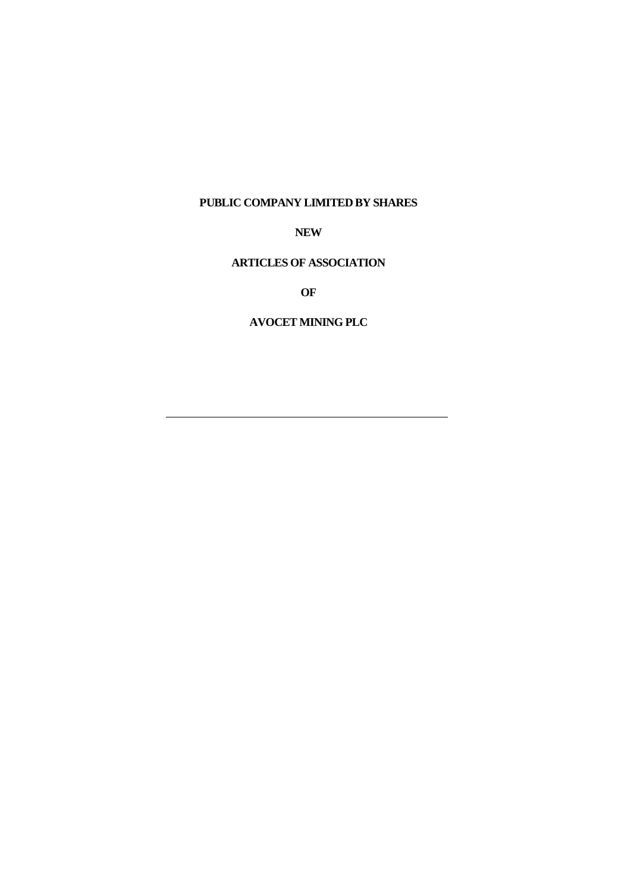#### **PUBLIC COMPANY LIMITED BY SHARES**

**NEW**

## **ARTICLES OF ASSOCIATION**

**OF**

## **AVOCET MINING PLC**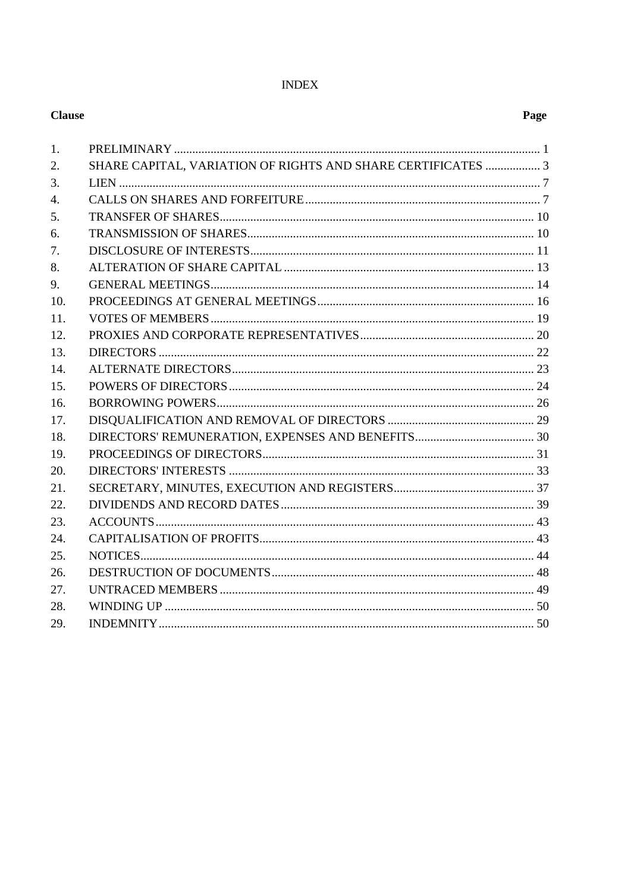## **INDEX**

## **Clause**

| 1.  |                                                              |  |
|-----|--------------------------------------------------------------|--|
| 2.  | SHARE CAPITAL, VARIATION OF RIGHTS AND SHARE CERTIFICATES  3 |  |
| 3.  |                                                              |  |
| 4.  |                                                              |  |
| 5.  |                                                              |  |
| 6.  |                                                              |  |
| 7.  |                                                              |  |
| 8.  |                                                              |  |
| 9.  |                                                              |  |
| 10. |                                                              |  |
| 11. |                                                              |  |
| 12. |                                                              |  |
| 13. |                                                              |  |
| 14. |                                                              |  |
| 15. |                                                              |  |
| 16. |                                                              |  |
| 17. |                                                              |  |
| 18. |                                                              |  |
| 19. |                                                              |  |
| 20. |                                                              |  |
| 21. |                                                              |  |
| 22. |                                                              |  |
| 23. |                                                              |  |
| 24. |                                                              |  |
| 25. |                                                              |  |
| 26. |                                                              |  |
| 27. |                                                              |  |
| 28. |                                                              |  |
| 29. |                                                              |  |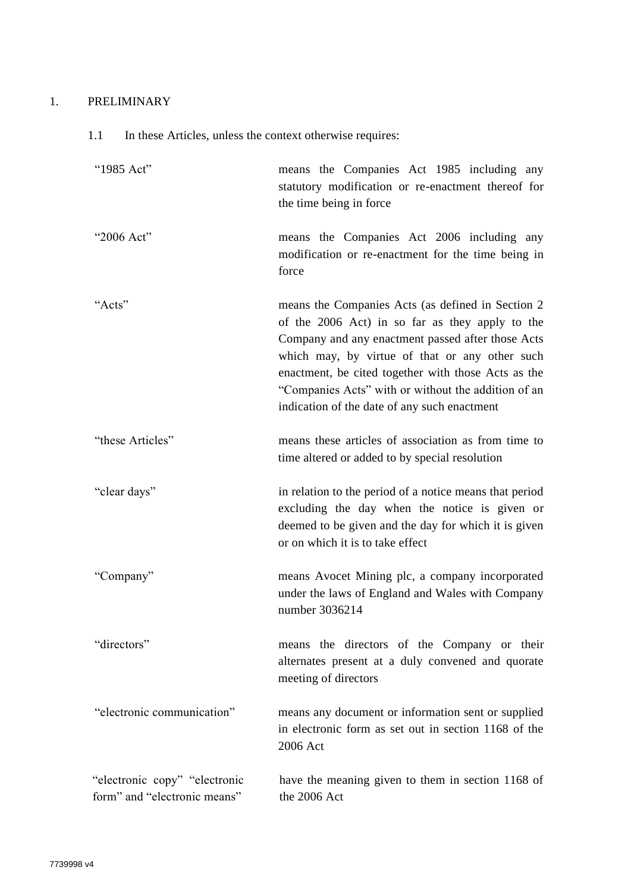# <span id="page-2-0"></span>1. PRELIMINARY

# 1.1 In these Articles, unless the context otherwise requires:

| "1985 Act"                                                    | means the Companies Act 1985 including any<br>statutory modification or re-enactment thereof for<br>the time being in force                                                                                                                                                                                                                                                |
|---------------------------------------------------------------|----------------------------------------------------------------------------------------------------------------------------------------------------------------------------------------------------------------------------------------------------------------------------------------------------------------------------------------------------------------------------|
| "2006 Act"                                                    | means the Companies Act 2006 including any<br>modification or re-enactment for the time being in<br>force                                                                                                                                                                                                                                                                  |
| "Acts"                                                        | means the Companies Acts (as defined in Section 2)<br>of the 2006 Act) in so far as they apply to the<br>Company and any enactment passed after those Acts<br>which may, by virtue of that or any other such<br>enactment, be cited together with those Acts as the<br>"Companies Acts" with or without the addition of an<br>indication of the date of any such enactment |
| "these Articles"                                              | means these articles of association as from time to<br>time altered or added to by special resolution                                                                                                                                                                                                                                                                      |
| "clear days"                                                  | in relation to the period of a notice means that period<br>excluding the day when the notice is given or<br>deemed to be given and the day for which it is given<br>or on which it is to take effect                                                                                                                                                                       |
| "Company"                                                     | means Avocet Mining plc, a company incorporated<br>under the laws of England and Wales with Company<br>number 3036214                                                                                                                                                                                                                                                      |
| "directors"                                                   | means the directors of the Company or their<br>alternates present at a duly convened and quorate<br>meeting of directors                                                                                                                                                                                                                                                   |
| "electronic communication"                                    | means any document or information sent or supplied<br>in electronic form as set out in section 1168 of the<br>2006 Act                                                                                                                                                                                                                                                     |
| "electronic copy" "electronic<br>form" and "electronic means" | have the meaning given to them in section 1168 of<br>the 2006 Act                                                                                                                                                                                                                                                                                                          |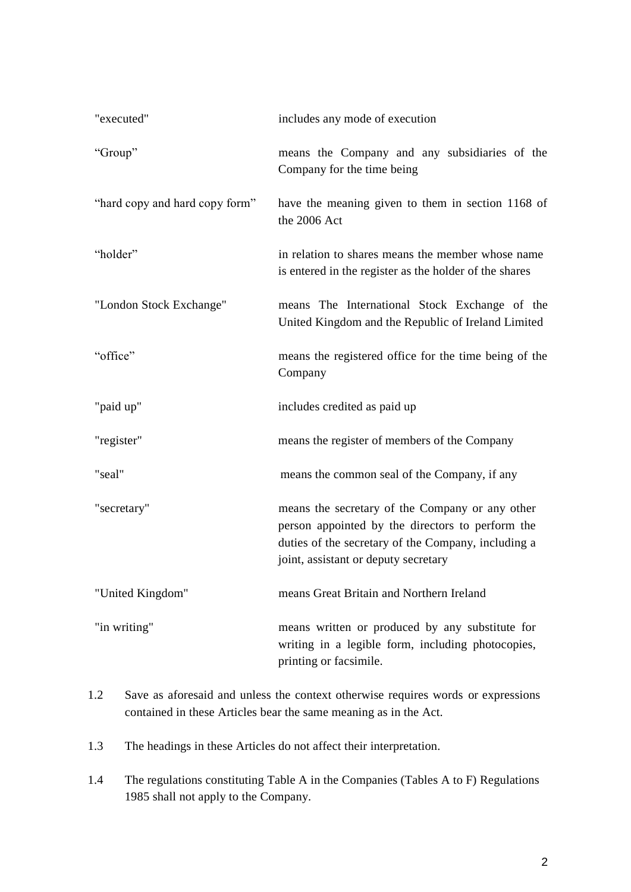| "executed"                     | includes any mode of execution                                                                                                                                                                     |
|--------------------------------|----------------------------------------------------------------------------------------------------------------------------------------------------------------------------------------------------|
| "Group"                        | means the Company and any subsidiaries of the<br>Company for the time being                                                                                                                        |
| "hard copy and hard copy form" | have the meaning given to them in section 1168 of<br>the 2006 Act                                                                                                                                  |
| "holder"                       | in relation to shares means the member whose name<br>is entered in the register as the holder of the shares                                                                                        |
| "London Stock Exchange"        | means The International Stock Exchange of the<br>United Kingdom and the Republic of Ireland Limited                                                                                                |
| "office"                       | means the registered office for the time being of the<br>Company                                                                                                                                   |
| "paid up"                      | includes credited as paid up                                                                                                                                                                       |
| "register"                     | means the register of members of the Company                                                                                                                                                       |
| "seal"                         | means the common seal of the Company, if any                                                                                                                                                       |
| "secretary"                    | means the secretary of the Company or any other<br>person appointed by the directors to perform the<br>duties of the secretary of the Company, including a<br>joint, assistant or deputy secretary |
| "United Kingdom"               | means Great Britain and Northern Ireland                                                                                                                                                           |
| "in writing"                   | means written or produced by any substitute for<br>writing in a legible form, including photocopies,<br>printing or facsimile.                                                                     |

1.2 Save as aforesaid and unless the context otherwise requires words or expressions contained in these Articles bear the same meaning as in the Act.

1.3 The headings in these Articles do not affect their interpretation.

1.4 The regulations constituting Table A in the Companies (Tables A to F) Regulations 1985 shall not apply to the Company.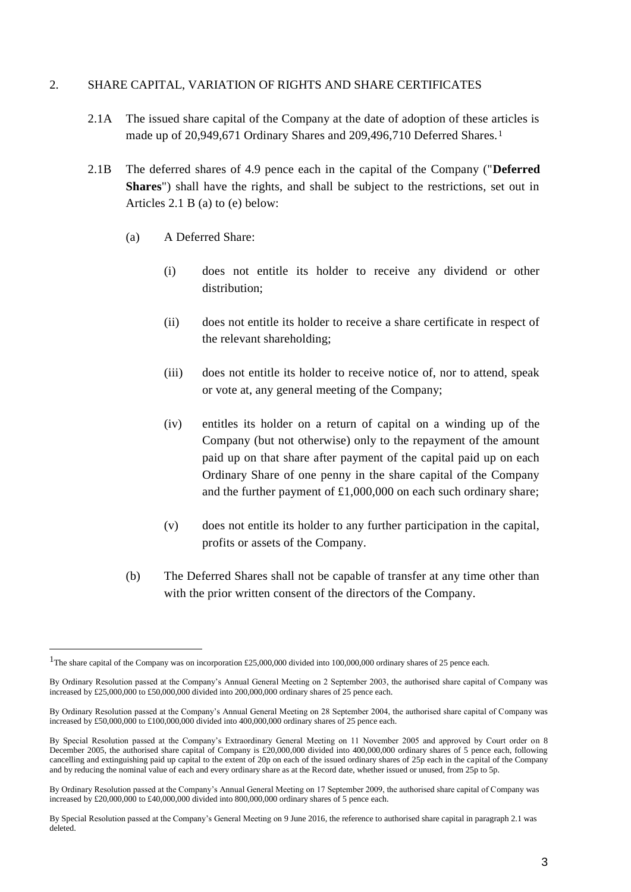## <span id="page-4-0"></span>2. SHARE CAPITAL, VARIATION OF RIGHTS AND SHARE CERTIFICATES

- 2.1A The issued share capital of the Company at the date of adoption of these articles is made up of 20,949,671 Ordinary Shares and 209,496,710 Deferred Shares.<sup>1</sup>
- 2.1B The deferred shares of 4.9 pence each in the capital of the Company ("**Deferred Shares**") shall have the rights, and shall be subject to the restrictions, set out in Articles 2.1 B (a) to (e) below:
	- (a) A Deferred Share:
		- (i) does not entitle its holder to receive any dividend or other distribution;
		- (ii) does not entitle its holder to receive a share certificate in respect of the relevant shareholding;
		- (iii) does not entitle its holder to receive notice of, nor to attend, speak or vote at, any general meeting of the Company;
		- (iv) entitles its holder on a return of capital on a winding up of the Company (but not otherwise) only to the repayment of the amount paid up on that share after payment of the capital paid up on each Ordinary Share of one penny in the share capital of the Company and the further payment of £1,000,000 on each such ordinary share;
		- (v) does not entitle its holder to any further participation in the capital, profits or assets of the Company.
	- (b) The Deferred Shares shall not be capable of transfer at any time other than with the prior written consent of the directors of the Company.

<sup>&</sup>lt;sup>1</sup>The share capital of the Company was on incorporation £25,000,000 divided into 100,000,000 ordinary shares of 25 pence each.

By Ordinary Resolution passed at the Company's Annual General Meeting on 2 September 2003, the authorised share capital of Company was increased by £25,000,000 to £50,000,000 divided into 200,000,000 ordinary shares of 25 pence each.

By Ordinary Resolution passed at the Company's Annual General Meeting on 28 September 2004, the authorised share capital of Company was increased by £50,000,000 to £100,000,000 divided into 400,000,000 ordinary shares of 25 pence each.

By Special Resolution passed at the Company's Extraordinary General Meeting on 11 November 2005 and approved by Court order on 8 December 2005, the authorised share capital of Company is £20,000,000 divided into 400,000,000 ordinary shares of 5 pence each, following cancelling and extinguishing paid up capital to the extent of 20p on each of the issued ordinary shares of 25p each in the capital of the Company and by reducing the nominal value of each and every ordinary share as at the Record date, whether issued or unused, from 25p to 5p.

By Ordinary Resolution passed at the Company's Annual General Meeting on 17 September 2009, the authorised share capital of Company was increased by £20,000,000 to £40,000,000 divided into 800,000,000 ordinary shares of 5 pence each.

By Special Resolution passed at the Company's General Meeting on 9 June 2016, the reference to authorised share capital in paragraph 2.1 was deleted.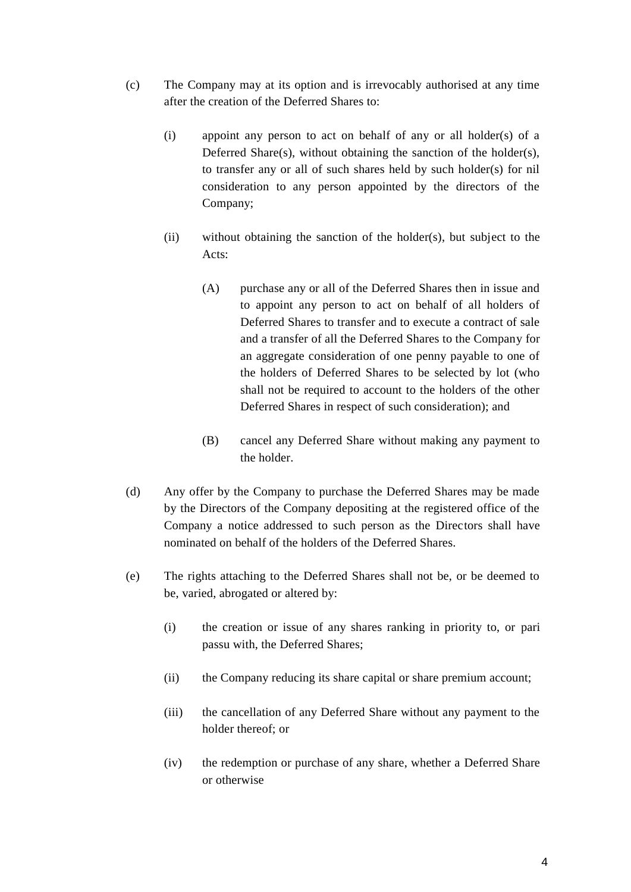- (c) The Company may at its option and is irrevocably authorised at any time after the creation of the Deferred Shares to:
	- (i) appoint any person to act on behalf of any or all holder(s) of a Deferred Share(s), without obtaining the sanction of the holder(s), to transfer any or all of such shares held by such holder(s) for nil consideration to any person appointed by the directors of the Company;
	- (ii) without obtaining the sanction of the holder(s), but subject to the Acts:
		- (A) purchase any or all of the Deferred Shares then in issue and to appoint any person to act on behalf of all holders of Deferred Shares to transfer and to execute a contract of sale and a transfer of all the Deferred Shares to the Company for an aggregate consideration of one penny payable to one of the holders of Deferred Shares to be selected by lot (who shall not be required to account to the holders of the other Deferred Shares in respect of such consideration); and
		- (B) cancel any Deferred Share without making any payment to the holder.
- (d) Any offer by the Company to purchase the Deferred Shares may be made by the Directors of the Company depositing at the registered office of the Company a notice addressed to such person as the Directors shall have nominated on behalf of the holders of the Deferred Shares.
- (e) The rights attaching to the Deferred Shares shall not be, or be deemed to be, varied, abrogated or altered by:
	- (i) the creation or issue of any shares ranking in priority to, or pari passu with, the Deferred Shares;
	- (ii) the Company reducing its share capital or share premium account;
	- (iii) the cancellation of any Deferred Share without any payment to the holder thereof; or
	- (iv) the redemption or purchase of any share, whether a Deferred Share or otherwise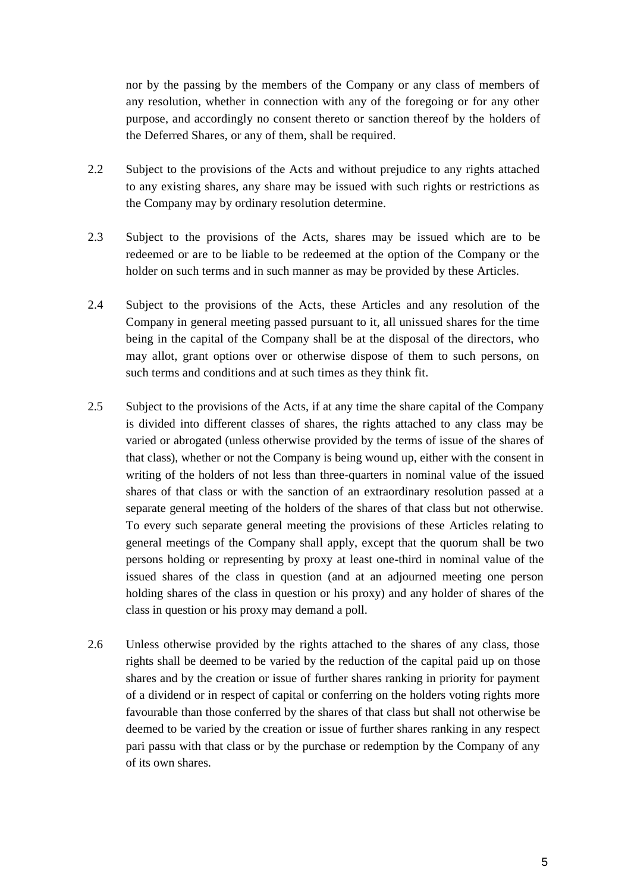nor by the passing by the members of the Company or any class of members of any resolution, whether in connection with any of the foregoing or for any other purpose, and accordingly no consent thereto or sanction thereof by the holders of the Deferred Shares, or any of them, shall be required.

- 2.2 Subject to the provisions of the Acts and without prejudice to any rights attached to any existing shares, any share may be issued with such rights or restrictions as the Company may by ordinary resolution determine.
- 2.3 Subject to the provisions of the Acts, shares may be issued which are to be redeemed or are to be liable to be redeemed at the option of the Company or the holder on such terms and in such manner as may be provided by these Articles.
- 2.4 Subject to the provisions of the Acts, these Articles and any resolution of the Company in general meeting passed pursuant to it, all unissued shares for the time being in the capital of the Company shall be at the disposal of the directors, who may allot, grant options over or otherwise dispose of them to such persons, on such terms and conditions and at such times as they think fit.
- 2.5 Subject to the provisions of the Acts, if at any time the share capital of the Company is divided into different classes of shares, the rights attached to any class may be varied or abrogated (unless otherwise provided by the terms of issue of the shares of that class), whether or not the Company is being wound up, either with the consent in writing of the holders of not less than three-quarters in nominal value of the issued shares of that class or with the sanction of an extraordinary resolution passed at a separate general meeting of the holders of the shares of that class but not otherwise. To every such separate general meeting the provisions of these Articles relating to general meetings of the Company shall apply, except that the quorum shall be two persons holding or representing by proxy at least one-third in nominal value of the issued shares of the class in question (and at an adjourned meeting one person holding shares of the class in question or his proxy) and any holder of shares of the class in question or his proxy may demand a poll.
- 2.6 Unless otherwise provided by the rights attached to the shares of any class, those rights shall be deemed to be varied by the reduction of the capital paid up on those shares and by the creation or issue of further shares ranking in priority for payment of a dividend or in respect of capital or conferring on the holders voting rights more favourable than those conferred by the shares of that class but shall not otherwise be deemed to be varied by the creation or issue of further shares ranking in any respect pari passu with that class or by the purchase or redemption by the Company of any of its own shares.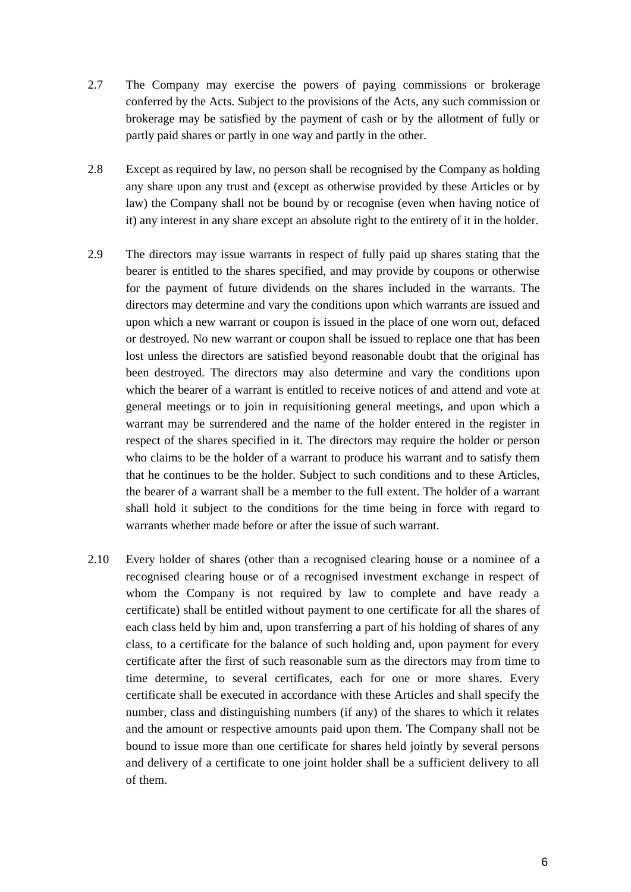- 2.7 The Company may exercise the powers of paying commissions or brokerage conferred by the Acts. Subject to the provisions of the Acts, any such commission or brokerage may be satisfied by the payment of cash or by the allotment of fully or partly paid shares or partly in one way and partly in the other.
- 2.8 Except as required by law, no person shall be recognised by the Company as holding any share upon any trust and (except as otherwise provided by these Articles or by law) the Company shall not be bound by or recognise (even when having notice of it) any interest in any share except an absolute right to the entirety of it in the holder.
- 2.9 The directors may issue warrants in respect of fully paid up shares stating that the bearer is entitled to the shares specified, and may provide by coupons or otherwise for the payment of future dividends on the shares included in the warrants. The directors may determine and vary the conditions upon which warrants are issued and upon which a new warrant or coupon is issued in the place of one worn out, defaced or destroyed. No new warrant or coupon shall be issued to replace one that has been lost unless the directors are satisfied beyond reasonable doubt that the original has been destroyed. The directors may also determine and vary the conditions upon which the bearer of a warrant is entitled to receive notices of and attend and vote at general meetings or to join in requisitioning general meetings, and upon which a warrant may be surrendered and the name of the holder entered in the register in respect of the shares specified in it. The directors may require the holder or person who claims to be the holder of a warrant to produce his warrant and to satisfy them that he continues to be the holder. Subject to such conditions and to these Articles, the bearer of a warrant shall be a member to the full extent. The holder of a warrant shall hold it subject to the conditions for the time being in force with regard to warrants whether made before or after the issue of such warrant.
- 2.10 Every holder of shares (other than a recognised clearing house or a nominee of a recognised clearing house or of a recognised investment exchange in respect of whom the Company is not required by law to complete and have ready a certificate) shall be entitled without payment to one certificate for all the shares of each class held by him and, upon transferring a part of his holding of shares of any class, to a certificate for the balance of such holding and, upon payment for every certificate after the first of such reasonable sum as the directors may from time to time determine, to several certificates, each for one or more shares. Every certificate shall be executed in accordance with these Articles and shall specify the number, class and distinguishing numbers (if any) of the shares to which it relates and the amount or respective amounts paid upon them. The Company shall not be bound to issue more than one certificate for shares held jointly by several persons and delivery of a certificate to one joint holder shall be a sufficient delivery to all of them.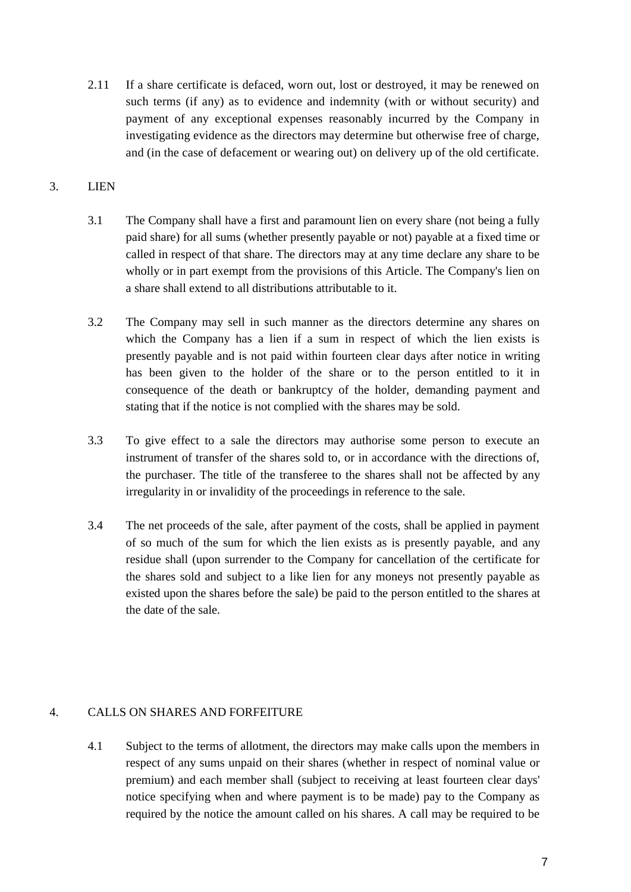2.11 If a share certificate is defaced, worn out, lost or destroyed, it may be renewed on such terms (if any) as to evidence and indemnity (with or without security) and payment of any exceptional expenses reasonably incurred by the Company in investigating evidence as the directors may determine but otherwise free of charge, and (in the case of defacement or wearing out) on delivery up of the old certificate.

## <span id="page-8-0"></span>3. LIEN

- 3.1 The Company shall have a first and paramount lien on every share (not being a fully paid share) for all sums (whether presently payable or not) payable at a fixed time or called in respect of that share. The directors may at any time declare any share to be wholly or in part exempt from the provisions of this Article. The Company's lien on a share shall extend to all distributions attributable to it.
- 3.2 The Company may sell in such manner as the directors determine any shares on which the Company has a lien if a sum in respect of which the lien exists is presently payable and is not paid within fourteen clear days after notice in writing has been given to the holder of the share or to the person entitled to it in consequence of the death or bankruptcy of the holder, demanding payment and stating that if the notice is not complied with the shares may be sold.
- 3.3 To give effect to a sale the directors may authorise some person to execute an instrument of transfer of the shares sold to, or in accordance with the directions of, the purchaser. The title of the transferee to the shares shall not be affected by any irregularity in or invalidity of the proceedings in reference to the sale.
- 3.4 The net proceeds of the sale, after payment of the costs, shall be applied in payment of so much of the sum for which the lien exists as is presently payable, and any residue shall (upon surrender to the Company for cancellation of the certificate for the shares sold and subject to a like lien for any moneys not presently payable as existed upon the shares before the sale) be paid to the person entitled to the shares at the date of the sale.

## <span id="page-8-1"></span>4. CALLS ON SHARES AND FORFEITURE

4.1 Subject to the terms of allotment, the directors may make calls upon the members in respect of any sums unpaid on their shares (whether in respect of nominal value or premium) and each member shall (subject to receiving at least fourteen clear days' notice specifying when and where payment is to be made) pay to the Company as required by the notice the amount called on his shares. A call may be required to be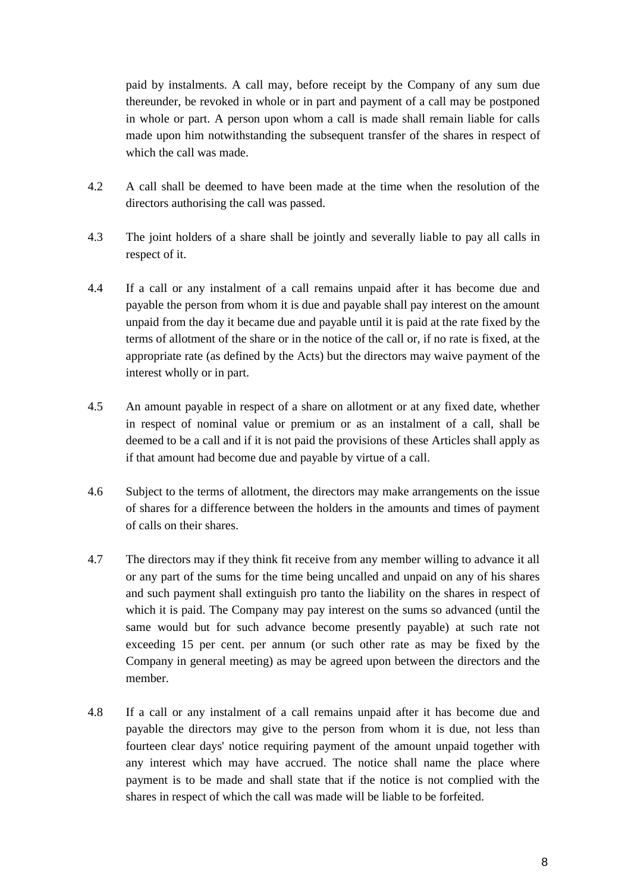paid by instalments. A call may, before receipt by the Company of any sum due thereunder, be revoked in whole or in part and payment of a call may be postponed in whole or part. A person upon whom a call is made shall remain liable for calls made upon him notwithstanding the subsequent transfer of the shares in respect of which the call was made.

- 4.2 A call shall be deemed to have been made at the time when the resolution of the directors authorising the call was passed.
- 4.3 The joint holders of a share shall be jointly and severally liable to pay all calls in respect of it.
- 4.4 If a call or any instalment of a call remains unpaid after it has become due and payable the person from whom it is due and payable shall pay interest on the amount unpaid from the day it became due and payable until it is paid at the rate fixed by the terms of allotment of the share or in the notice of the call or, if no rate is fixed, at the appropriate rate (as defined by the Acts) but the directors may waive payment of the interest wholly or in part.
- 4.5 An amount payable in respect of a share on allotment or at any fixed date, whether in respect of nominal value or premium or as an instalment of a call, shall be deemed to be a call and if it is not paid the provisions of these Articles shall apply as if that amount had become due and payable by virtue of a call.
- 4.6 Subject to the terms of allotment, the directors may make arrangements on the issue of shares for a difference between the holders in the amounts and times of payment of calls on their shares.
- 4.7 The directors may if they think fit receive from any member willing to advance it all or any part of the sums for the time being uncalled and unpaid on any of his shares and such payment shall extinguish pro tanto the liability on the shares in respect of which it is paid. The Company may pay interest on the sums so advanced (until the same would but for such advance become presently payable) at such rate not exceeding 15 per cent. per annum (or such other rate as may be fixed by the Company in general meeting) as may be agreed upon between the directors and the member.
- 4.8 If a call or any instalment of a call remains unpaid after it has become due and payable the directors may give to the person from whom it is due, not less than fourteen clear days' notice requiring payment of the amount unpaid together with any interest which may have accrued. The notice shall name the place where payment is to be made and shall state that if the notice is not complied with the shares in respect of which the call was made will be liable to be forfeited.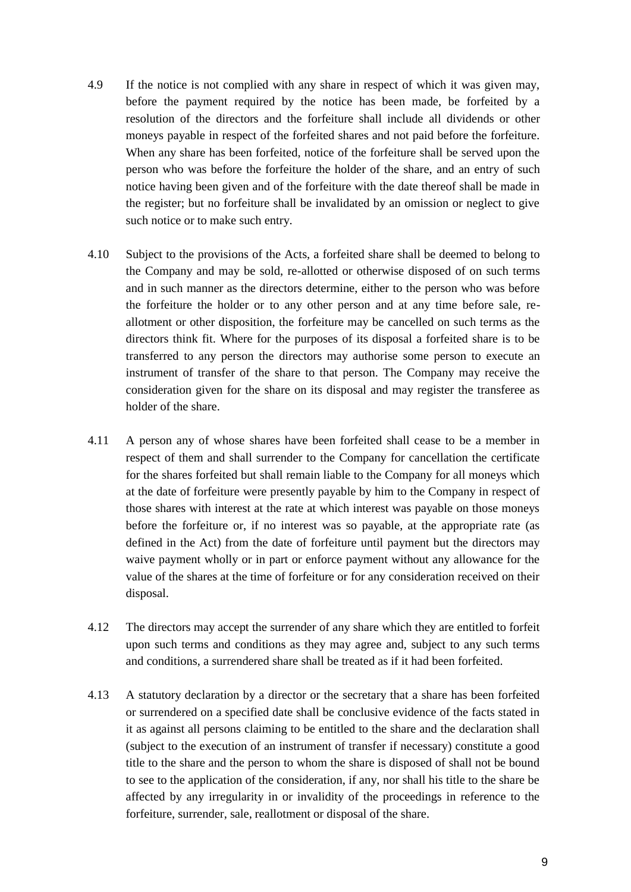- 4.9 If the notice is not complied with any share in respect of which it was given may, before the payment required by the notice has been made, be forfeited by a resolution of the directors and the forfeiture shall include all dividends or other moneys payable in respect of the forfeited shares and not paid before the forfeiture. When any share has been forfeited, notice of the forfeiture shall be served upon the person who was before the forfeiture the holder of the share, and an entry of such notice having been given and of the forfeiture with the date thereof shall be made in the register; but no forfeiture shall be invalidated by an omission or neglect to give such notice or to make such entry.
- 4.10 Subject to the provisions of the Acts, a forfeited share shall be deemed to belong to the Company and may be sold, re-allotted or otherwise disposed of on such terms and in such manner as the directors determine, either to the person who was before the forfeiture the holder or to any other person and at any time before sale, reallotment or other disposition, the forfeiture may be cancelled on such terms as the directors think fit. Where for the purposes of its disposal a forfeited share is to be transferred to any person the directors may authorise some person to execute an instrument of transfer of the share to that person. The Company may receive the consideration given for the share on its disposal and may register the transferee as holder of the share.
- 4.11 A person any of whose shares have been forfeited shall cease to be a member in respect of them and shall surrender to the Company for cancellation the certificate for the shares forfeited but shall remain liable to the Company for all moneys which at the date of forfeiture were presently payable by him to the Company in respect of those shares with interest at the rate at which interest was payable on those moneys before the forfeiture or, if no interest was so payable, at the appropriate rate (as defined in the Act) from the date of forfeiture until payment but the directors may waive payment wholly or in part or enforce payment without any allowance for the value of the shares at the time of forfeiture or for any consideration received on their disposal.
- 4.12 The directors may accept the surrender of any share which they are entitled to forfeit upon such terms and conditions as they may agree and, subject to any such terms and conditions, a surrendered share shall be treated as if it had been forfeited.
- 4.13 A statutory declaration by a director or the secretary that a share has been forfeited or surrendered on a specified date shall be conclusive evidence of the facts stated in it as against all persons claiming to be entitled to the share and the declaration shall (subject to the execution of an instrument of transfer if necessary) constitute a good title to the share and the person to whom the share is disposed of shall not be bound to see to the application of the consideration, if any, nor shall his title to the share be affected by any irregularity in or invalidity of the proceedings in reference to the forfeiture, surrender, sale, reallotment or disposal of the share.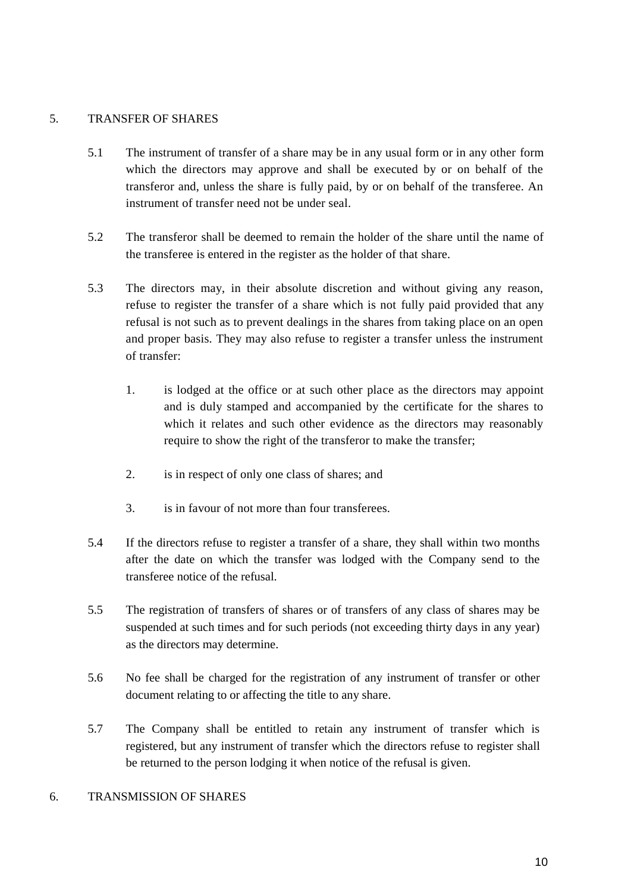## <span id="page-11-0"></span>5. TRANSFER OF SHARES

- 5.1 The instrument of transfer of a share may be in any usual form or in any other form which the directors may approve and shall be executed by or on behalf of the transferor and, unless the share is fully paid, by or on behalf of the transferee. An instrument of transfer need not be under seal.
- 5.2 The transferor shall be deemed to remain the holder of the share until the name of the transferee is entered in the register as the holder of that share.
- 5.3 The directors may, in their absolute discretion and without giving any reason, refuse to register the transfer of a share which is not fully paid provided that any refusal is not such as to prevent dealings in the shares from taking place on an open and proper basis. They may also refuse to register a transfer unless the instrument of transfer:
	- 1. is lodged at the office or at such other place as the directors may appoint and is duly stamped and accompanied by the certificate for the shares to which it relates and such other evidence as the directors may reasonably require to show the right of the transferor to make the transfer;
	- 2. is in respect of only one class of shares; and
	- 3. is in favour of not more than four transferees.
- 5.4 If the directors refuse to register a transfer of a share, they shall within two months after the date on which the transfer was lodged with the Company send to the transferee notice of the refusal.
- 5.5 The registration of transfers of shares or of transfers of any class of shares may be suspended at such times and for such periods (not exceeding thirty days in any year) as the directors may determine.
- 5.6 No fee shall be charged for the registration of any instrument of transfer or other document relating to or affecting the title to any share.
- 5.7 The Company shall be entitled to retain any instrument of transfer which is registered, but any instrument of transfer which the directors refuse to register shall be returned to the person lodging it when notice of the refusal is given.

## <span id="page-11-1"></span>6. TRANSMISSION OF SHARES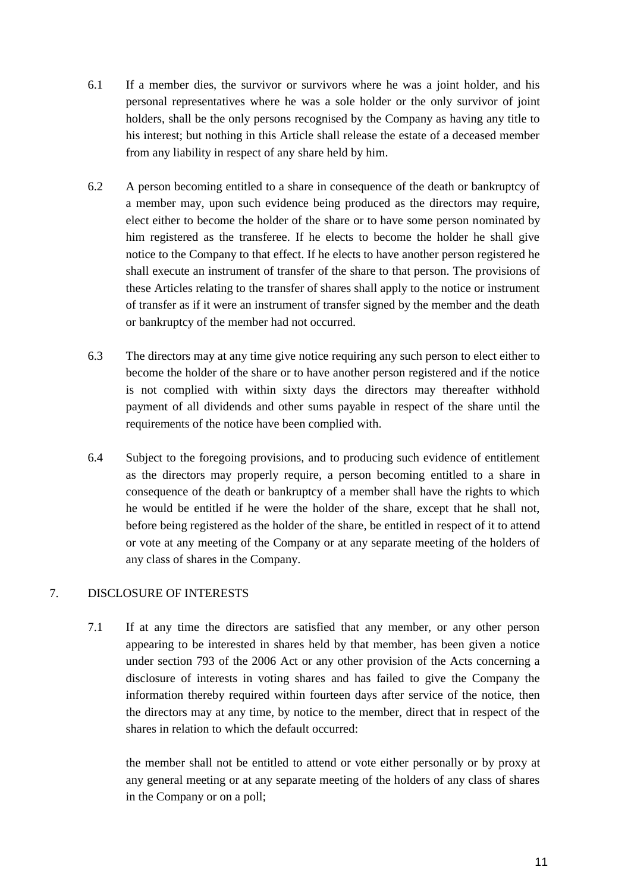- 6.1 If a member dies, the survivor or survivors where he was a joint holder, and his personal representatives where he was a sole holder or the only survivor of joint holders, shall be the only persons recognised by the Company as having any title to his interest; but nothing in this Article shall release the estate of a deceased member from any liability in respect of any share held by him.
- 6.2 A person becoming entitled to a share in consequence of the death or bankruptcy of a member may, upon such evidence being produced as the directors may require, elect either to become the holder of the share or to have some person nominated by him registered as the transferee. If he elects to become the holder he shall give notice to the Company to that effect. If he elects to have another person registered he shall execute an instrument of transfer of the share to that person. The provisions of these Articles relating to the transfer of shares shall apply to the notice or instrument of transfer as if it were an instrument of transfer signed by the member and the death or bankruptcy of the member had not occurred.
- 6.3 The directors may at any time give notice requiring any such person to elect either to become the holder of the share or to have another person registered and if the notice is not complied with within sixty days the directors may thereafter withhold payment of all dividends and other sums payable in respect of the share until the requirements of the notice have been complied with.
- 6.4 Subject to the foregoing provisions, and to producing such evidence of entitlement as the directors may properly require, a person becoming entitled to a share in consequence of the death or bankruptcy of a member shall have the rights to which he would be entitled if he were the holder of the share, except that he shall not, before being registered as the holder of the share, be entitled in respect of it to attend or vote at any meeting of the Company or at any separate meeting of the holders of any class of shares in the Company.

## <span id="page-12-0"></span>7. DISCLOSURE OF INTERESTS

7.1 If at any time the directors are satisfied that any member, or any other person appearing to be interested in shares held by that member, has been given a notice under section 793 of the 2006 Act or any other provision of the Acts concerning a disclosure of interests in voting shares and has failed to give the Company the information thereby required within fourteen days after service of the notice, then the directors may at any time, by notice to the member, direct that in respect of the shares in relation to which the default occurred:

the member shall not be entitled to attend or vote either personally or by proxy at any general meeting or at any separate meeting of the holders of any class of shares in the Company or on a poll;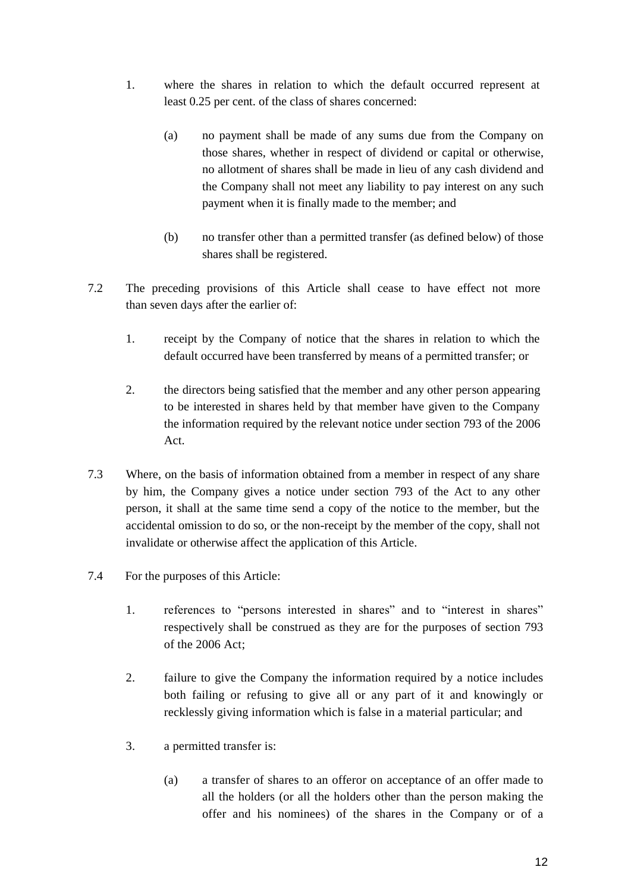- 1. where the shares in relation to which the default occurred represent at least 0.25 per cent. of the class of shares concerned:
	- (a) no payment shall be made of any sums due from the Company on those shares, whether in respect of dividend or capital or otherwise, no allotment of shares shall be made in lieu of any cash dividend and the Company shall not meet any liability to pay interest on any such payment when it is finally made to the member; and
	- (b) no transfer other than a permitted transfer (as defined below) of those shares shall be registered.
- 7.2 The preceding provisions of this Article shall cease to have effect not more than seven days after the earlier of:
	- 1. receipt by the Company of notice that the shares in relation to which the default occurred have been transferred by means of a permitted transfer; or
	- 2. the directors being satisfied that the member and any other person appearing to be interested in shares held by that member have given to the Company the information required by the relevant notice under section 793 of the 2006 Act.
- 7.3 Where, on the basis of information obtained from a member in respect of any share by him, the Company gives a notice under section 793 of the Act to any other person, it shall at the same time send a copy of the notice to the member, but the accidental omission to do so, or the non-receipt by the member of the copy, shall not invalidate or otherwise affect the application of this Article.
- 7.4 For the purposes of this Article:
	- 1. references to "persons interested in shares" and to "interest in shares" respectively shall be construed as they are for the purposes of section 793 of the 2006 Act;
	- 2. failure to give the Company the information required by a notice includes both failing or refusing to give all or any part of it and knowingly or recklessly giving information which is false in a material particular; and
	- 3. a permitted transfer is:
		- (a) a transfer of shares to an offeror on acceptance of an offer made to all the holders (or all the holders other than the person making the offer and his nominees) of the shares in the Company or of a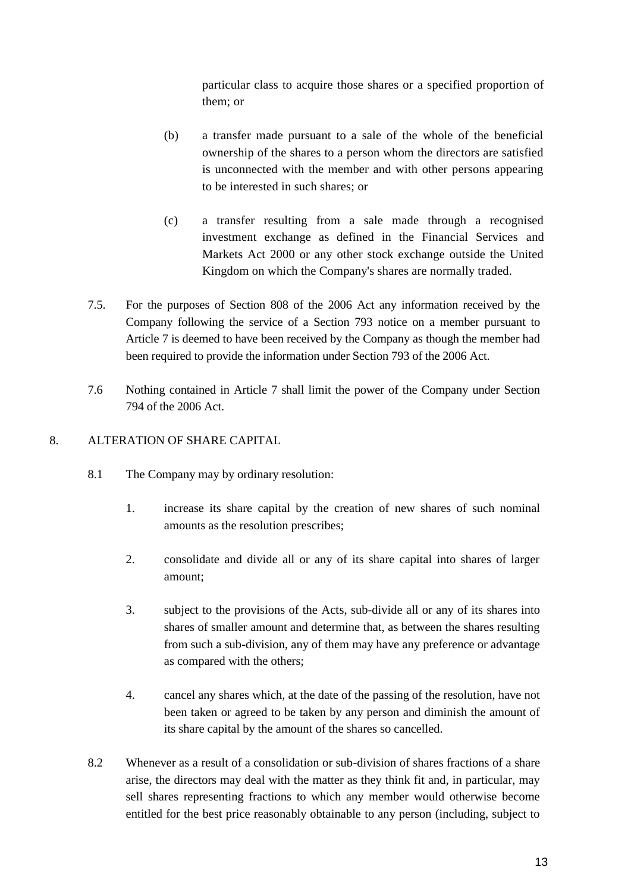particular class to acquire those shares or a specified proportion of them; or

- (b) a transfer made pursuant to a sale of the whole of the beneficial ownership of the shares to a person whom the directors are satisfied is unconnected with the member and with other persons appearing to be interested in such shares; or
- (c) a transfer resulting from a sale made through a recognised investment exchange as defined in the Financial Services and Markets Act 2000 or any other stock exchange outside the United Kingdom on which the Company's shares are normally traded.
- 7.5. For the purposes of Section 808 of the 2006 Act any information received by the Company following the service of a Section 793 notice on a member pursuant to Article 7 is deemed to have been received by the Company as though the member had been required to provide the information under Section 793 of the 2006 Act.
- 7.6 Nothing contained in Article 7 shall limit the power of the Company under Section 794 of the 2006 Act.

## <span id="page-14-0"></span>8. ALTERATION OF SHARE CAPITAL

- 8.1 The Company may by ordinary resolution:
	- 1. increase its share capital by the creation of new shares of such nominal amounts as the resolution prescribes;
	- 2. consolidate and divide all or any of its share capital into shares of larger amount;
	- 3. subject to the provisions of the Acts, sub-divide all or any of its shares into shares of smaller amount and determine that, as between the shares resulting from such a sub-division, any of them may have any preference or advantage as compared with the others;
	- 4. cancel any shares which, at the date of the passing of the resolution, have not been taken or agreed to be taken by any person and diminish the amount of its share capital by the amount of the shares so cancelled.
- 8.2 Whenever as a result of a consolidation or sub-division of shares fractions of a share arise, the directors may deal with the matter as they think fit and, in particular, may sell shares representing fractions to which any member would otherwise become entitled for the best price reasonably obtainable to any person (including, subject to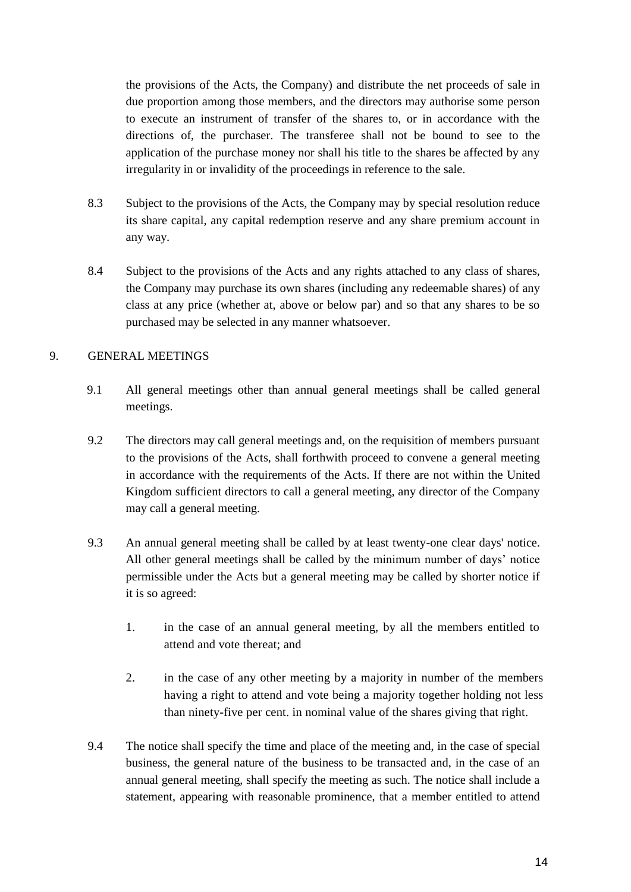the provisions of the Acts, the Company) and distribute the net proceeds of sale in due proportion among those members, and the directors may authorise some person to execute an instrument of transfer of the shares to, or in accordance with the directions of, the purchaser. The transferee shall not be bound to see to the application of the purchase money nor shall his title to the shares be affected by any irregularity in or invalidity of the proceedings in reference to the sale.

- 8.3 Subject to the provisions of the Acts, the Company may by special resolution reduce its share capital, any capital redemption reserve and any share premium account in any way.
- 8.4 Subject to the provisions of the Acts and any rights attached to any class of shares, the Company may purchase its own shares (including any redeemable shares) of any class at any price (whether at, above or below par) and so that any shares to be so purchased may be selected in any manner whatsoever.

## <span id="page-15-0"></span>9. GENERAL MEETINGS

- 9.1 All general meetings other than annual general meetings shall be called general meetings.
- 9.2 The directors may call general meetings and, on the requisition of members pursuant to the provisions of the Acts, shall forthwith proceed to convene a general meeting in accordance with the requirements of the Acts. If there are not within the United Kingdom sufficient directors to call a general meeting, any director of the Company may call a general meeting.
- 9.3 An annual general meeting shall be called by at least twenty-one clear days' notice. All other general meetings shall be called by the minimum number of days' notice permissible under the Acts but a general meeting may be called by shorter notice if it is so agreed:
	- 1. in the case of an annual general meeting, by all the members entitled to attend and vote thereat; and
	- 2. in the case of any other meeting by a majority in number of the members having a right to attend and vote being a majority together holding not less than ninety-five per cent. in nominal value of the shares giving that right.
- 9.4 The notice shall specify the time and place of the meeting and, in the case of special business, the general nature of the business to be transacted and, in the case of an annual general meeting, shall specify the meeting as such. The notice shall include a statement, appearing with reasonable prominence, that a member entitled to attend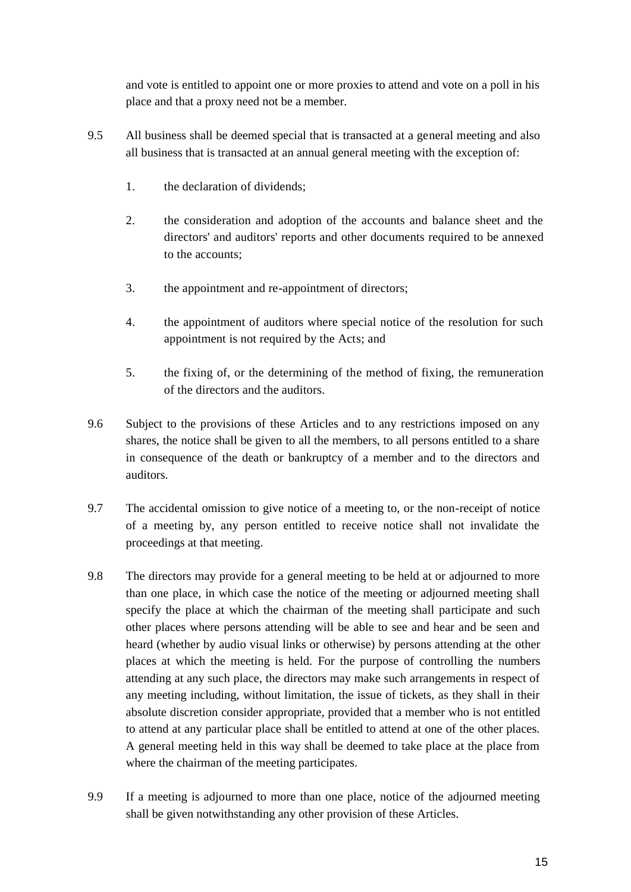and vote is entitled to appoint one or more proxies to attend and vote on a poll in his place and that a proxy need not be a member.

- 9.5 All business shall be deemed special that is transacted at a general meeting and also all business that is transacted at an annual general meeting with the exception of:
	- 1. the declaration of dividends;
	- 2. the consideration and adoption of the accounts and balance sheet and the directors' and auditors' reports and other documents required to be annexed to the accounts;
	- 3. the appointment and re-appointment of directors;
	- 4. the appointment of auditors where special notice of the resolution for such appointment is not required by the Acts; and
	- 5. the fixing of, or the determining of the method of fixing, the remuneration of the directors and the auditors.
- 9.6 Subject to the provisions of these Articles and to any restrictions imposed on any shares, the notice shall be given to all the members, to all persons entitled to a share in consequence of the death or bankruptcy of a member and to the directors and auditors.
- 9.7 The accidental omission to give notice of a meeting to, or the non-receipt of notice of a meeting by, any person entitled to receive notice shall not invalidate the proceedings at that meeting.
- 9.8 The directors may provide for a general meeting to be held at or adjourned to more than one place, in which case the notice of the meeting or adjourned meeting shall specify the place at which the chairman of the meeting shall participate and such other places where persons attending will be able to see and hear and be seen and heard (whether by audio visual links or otherwise) by persons attending at the other places at which the meeting is held. For the purpose of controlling the numbers attending at any such place, the directors may make such arrangements in respect of any meeting including, without limitation, the issue of tickets, as they shall in their absolute discretion consider appropriate, provided that a member who is not entitled to attend at any particular place shall be entitled to attend at one of the other places. A general meeting held in this way shall be deemed to take place at the place from where the chairman of the meeting participates.
- 9.9 If a meeting is adjourned to more than one place, notice of the adjourned meeting shall be given notwithstanding any other provision of these Articles.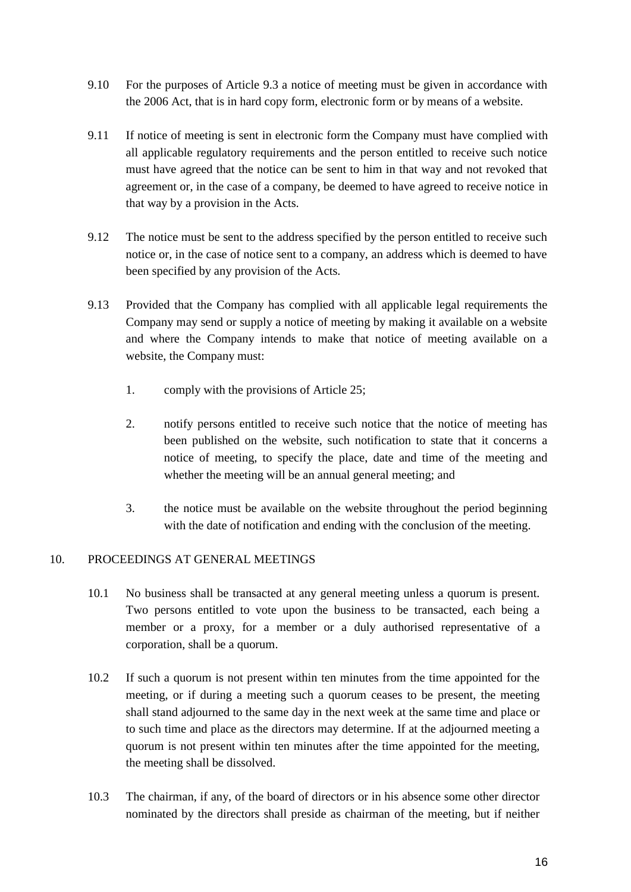- 9.10 For the purposes of Article 9.3 a notice of meeting must be given in accordance with the 2006 Act, that is in hard copy form, electronic form or by means of a website.
- 9.11 If notice of meeting is sent in electronic form the Company must have complied with all applicable regulatory requirements and the person entitled to receive such notice must have agreed that the notice can be sent to him in that way and not revoked that agreement or, in the case of a company, be deemed to have agreed to receive notice in that way by a provision in the Acts.
- 9.12 The notice must be sent to the address specified by the person entitled to receive such notice or, in the case of notice sent to a company, an address which is deemed to have been specified by any provision of the Acts.
- 9.13 Provided that the Company has complied with all applicable legal requirements the Company may send or supply a notice of meeting by making it available on a website and where the Company intends to make that notice of meeting available on a website, the Company must:
	- 1. comply with the provisions of Article 25;
	- 2. notify persons entitled to receive such notice that the notice of meeting has been published on the website, such notification to state that it concerns a notice of meeting, to specify the place, date and time of the meeting and whether the meeting will be an annual general meeting; and
	- 3. the notice must be available on the website throughout the period beginning with the date of notification and ending with the conclusion of the meeting.

## <span id="page-17-0"></span>10. PROCEEDINGS AT GENERAL MEETINGS

- 10.1 No business shall be transacted at any general meeting unless a quorum is present. Two persons entitled to vote upon the business to be transacted, each being a member or a proxy, for a member or a duly authorised representative of a corporation, shall be a quorum.
- 10.2 If such a quorum is not present within ten minutes from the time appointed for the meeting, or if during a meeting such a quorum ceases to be present, the meeting shall stand adjourned to the same day in the next week at the same time and place or to such time and place as the directors may determine. If at the adjourned meeting a quorum is not present within ten minutes after the time appointed for the meeting, the meeting shall be dissolved.
- 10.3 The chairman, if any, of the board of directors or in his absence some other director nominated by the directors shall preside as chairman of the meeting, but if neither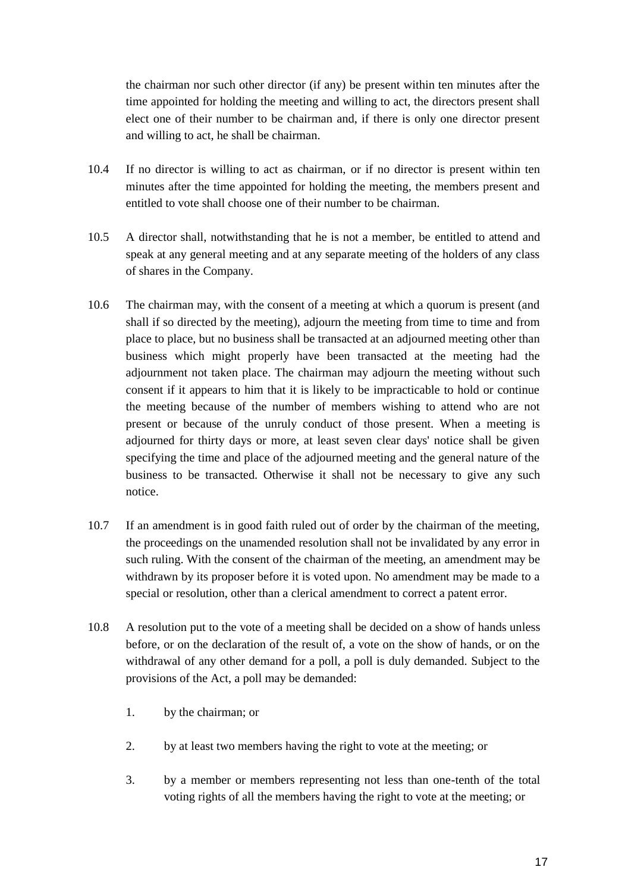the chairman nor such other director (if any) be present within ten minutes after the time appointed for holding the meeting and willing to act, the directors present shall elect one of their number to be chairman and, if there is only one director present and willing to act, he shall be chairman.

- 10.4 If no director is willing to act as chairman, or if no director is present within ten minutes after the time appointed for holding the meeting, the members present and entitled to vote shall choose one of their number to be chairman.
- 10.5 A director shall, notwithstanding that he is not a member, be entitled to attend and speak at any general meeting and at any separate meeting of the holders of any class of shares in the Company.
- 10.6 The chairman may, with the consent of a meeting at which a quorum is present (and shall if so directed by the meeting), adjourn the meeting from time to time and from place to place, but no business shall be transacted at an adjourned meeting other than business which might properly have been transacted at the meeting had the adjournment not taken place. The chairman may adjourn the meeting without such consent if it appears to him that it is likely to be impracticable to hold or continue the meeting because of the number of members wishing to attend who are not present or because of the unruly conduct of those present. When a meeting is adjourned for thirty days or more, at least seven clear days' notice shall be given specifying the time and place of the adjourned meeting and the general nature of the business to be transacted. Otherwise it shall not be necessary to give any such notice.
- 10.7 If an amendment is in good faith ruled out of order by the chairman of the meeting, the proceedings on the unamended resolution shall not be invalidated by any error in such ruling. With the consent of the chairman of the meeting, an amendment may be withdrawn by its proposer before it is voted upon. No amendment may be made to a special or resolution, other than a clerical amendment to correct a patent error.
- 10.8 A resolution put to the vote of a meeting shall be decided on a show of hands unless before, or on the declaration of the result of, a vote on the show of hands, or on the withdrawal of any other demand for a poll, a poll is duly demanded. Subject to the provisions of the Act, a poll may be demanded:
	- 1. by the chairman; or
	- 2. by at least two members having the right to vote at the meeting; or
	- 3. by a member or members representing not less than one-tenth of the total voting rights of all the members having the right to vote at the meeting; or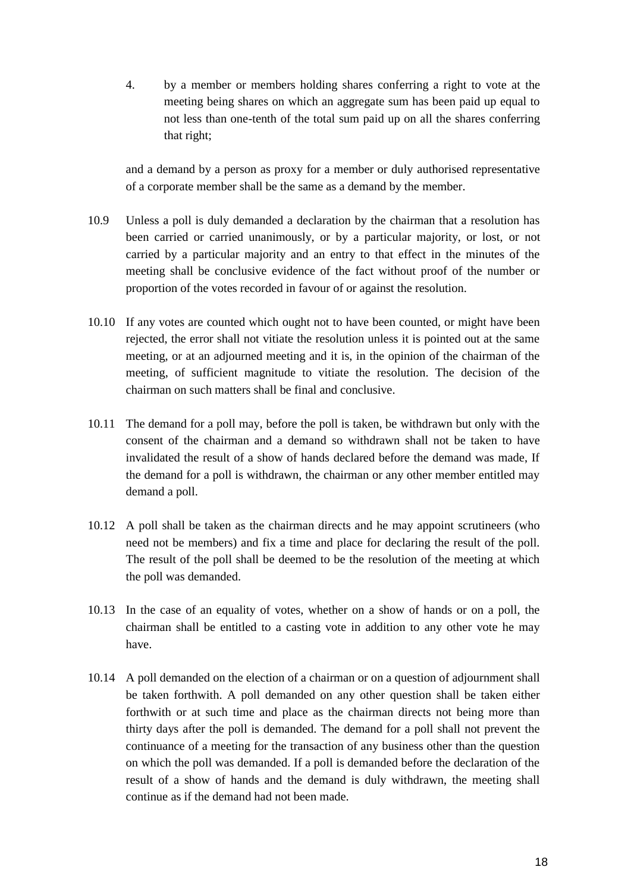4. by a member or members holding shares conferring a right to vote at the meeting being shares on which an aggregate sum has been paid up equal to not less than one-tenth of the total sum paid up on all the shares conferring that right;

and a demand by a person as proxy for a member or duly authorised representative of a corporate member shall be the same as a demand by the member.

- 10.9 Unless a poll is duly demanded a declaration by the chairman that a resolution has been carried or carried unanimously, or by a particular majority, or lost, or not carried by a particular majority and an entry to that effect in the minutes of the meeting shall be conclusive evidence of the fact without proof of the number or proportion of the votes recorded in favour of or against the resolution.
- 10.10 If any votes are counted which ought not to have been counted, or might have been rejected, the error shall not vitiate the resolution unless it is pointed out at the same meeting, or at an adjourned meeting and it is, in the opinion of the chairman of the meeting, of sufficient magnitude to vitiate the resolution. The decision of the chairman on such matters shall be final and conclusive.
- 10.11 The demand for a poll may, before the poll is taken, be withdrawn but only with the consent of the chairman and a demand so withdrawn shall not be taken to have invalidated the result of a show of hands declared before the demand was made, If the demand for a poll is withdrawn, the chairman or any other member entitled may demand a poll.
- 10.12 A poll shall be taken as the chairman directs and he may appoint scrutineers (who need not be members) and fix a time and place for declaring the result of the poll. The result of the poll shall be deemed to be the resolution of the meeting at which the poll was demanded.
- 10.13 In the case of an equality of votes, whether on a show of hands or on a poll, the chairman shall be entitled to a casting vote in addition to any other vote he may have.
- 10.14 A poll demanded on the election of a chairman or on a question of adjournment shall be taken forthwith. A poll demanded on any other question shall be taken either forthwith or at such time and place as the chairman directs not being more than thirty days after the poll is demanded. The demand for a poll shall not prevent the continuance of a meeting for the transaction of any business other than the question on which the poll was demanded. If a poll is demanded before the declaration of the result of a show of hands and the demand is duly withdrawn, the meeting shall continue as if the demand had not been made.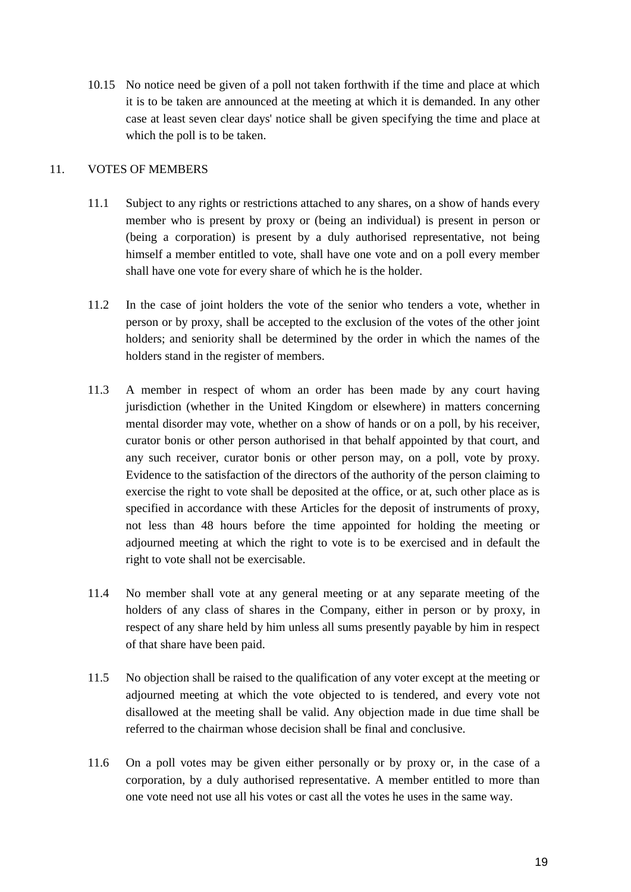10.15 No notice need be given of a poll not taken forthwith if the time and place at which it is to be taken are announced at the meeting at which it is demanded. In any other case at least seven clear days' notice shall be given specifying the time and place at which the poll is to be taken.

## <span id="page-20-0"></span>11. VOTES OF MEMBERS

- 11.1 Subject to any rights or restrictions attached to any shares, on a show of hands every member who is present by proxy or (being an individual) is present in person or (being a corporation) is present by a duly authorised representative, not being himself a member entitled to vote, shall have one vote and on a poll every member shall have one vote for every share of which he is the holder.
- 11.2 In the case of joint holders the vote of the senior who tenders a vote, whether in person or by proxy, shall be accepted to the exclusion of the votes of the other joint holders; and seniority shall be determined by the order in which the names of the holders stand in the register of members.
- 11.3 A member in respect of whom an order has been made by any court having jurisdiction (whether in the United Kingdom or elsewhere) in matters concerning mental disorder may vote, whether on a show of hands or on a poll, by his receiver, curator bonis or other person authorised in that behalf appointed by that court, and any such receiver, curator bonis or other person may, on a poll, vote by proxy. Evidence to the satisfaction of the directors of the authority of the person claiming to exercise the right to vote shall be deposited at the office, or at, such other place as is specified in accordance with these Articles for the deposit of instruments of proxy, not less than 48 hours before the time appointed for holding the meeting or adjourned meeting at which the right to vote is to be exercised and in default the right to vote shall not be exercisable.
- 11.4 No member shall vote at any general meeting or at any separate meeting of the holders of any class of shares in the Company, either in person or by proxy, in respect of any share held by him unless all sums presently payable by him in respect of that share have been paid.
- 11.5 No objection shall be raised to the qualification of any voter except at the meeting or adjourned meeting at which the vote objected to is tendered, and every vote not disallowed at the meeting shall be valid. Any objection made in due time shall be referred to the chairman whose decision shall be final and conclusive.
- 11.6 On a poll votes may be given either personally or by proxy or, in the case of a corporation, by a duly authorised representative. A member entitled to more than one vote need not use all his votes or cast all the votes he uses in the same way.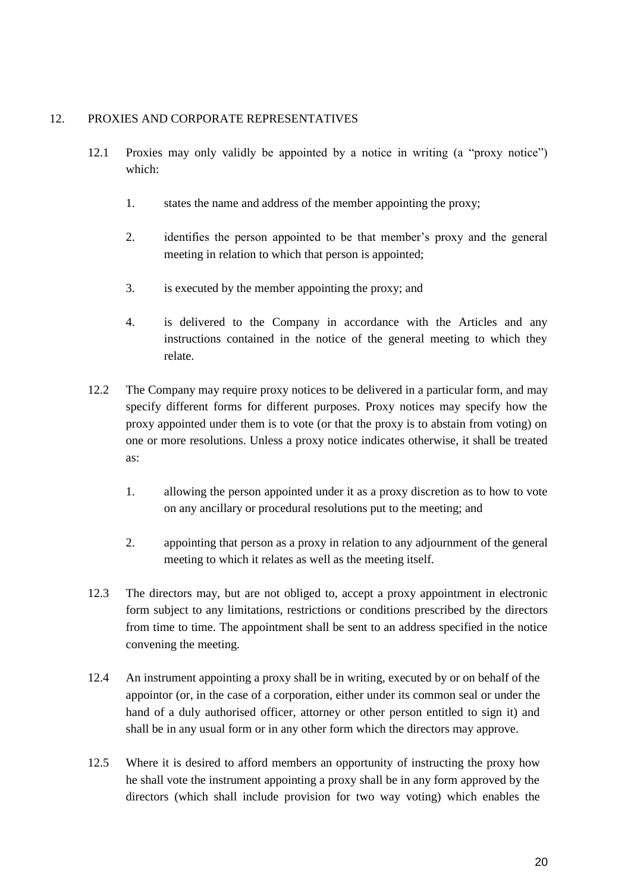## <span id="page-21-0"></span>12. PROXIES AND CORPORATE REPRESENTATIVES

- 12.1 Proxies may only validly be appointed by a notice in writing (a "proxy notice") which:
	- 1. states the name and address of the member appointing the proxy;
	- 2. identifies the person appointed to be that member's proxy and the general meeting in relation to which that person is appointed;
	- 3. is executed by the member appointing the proxy; and
	- 4. is delivered to the Company in accordance with the Articles and any instructions contained in the notice of the general meeting to which they relate.
- 12.2 The Company may require proxy notices to be delivered in a particular form, and may specify different forms for different purposes. Proxy notices may specify how the proxy appointed under them is to vote (or that the proxy is to abstain from voting) on one or more resolutions. Unless a proxy notice indicates otherwise, it shall be treated as:
	- 1. allowing the person appointed under it as a proxy discretion as to how to vote on any ancillary or procedural resolutions put to the meeting; and
	- 2. appointing that person as a proxy in relation to any adjournment of the general meeting to which it relates as well as the meeting itself.
- 12.3 The directors may, but are not obliged to, accept a proxy appointment in electronic form subject to any limitations, restrictions or conditions prescribed by the directors from time to time. The appointment shall be sent to an address specified in the notice convening the meeting.
- 12.4 An instrument appointing a proxy shall be in writing, executed by or on behalf of the appointor (or, in the case of a corporation, either under its common seal or under the hand of a duly authorised officer, attorney or other person entitled to sign it) and shall be in any usual form or in any other form which the directors may approve.
- 12.5 Where it is desired to afford members an opportunity of instructing the proxy how he shall vote the instrument appointing a proxy shall be in any form approved by the directors (which shall include provision for two way voting) which enables the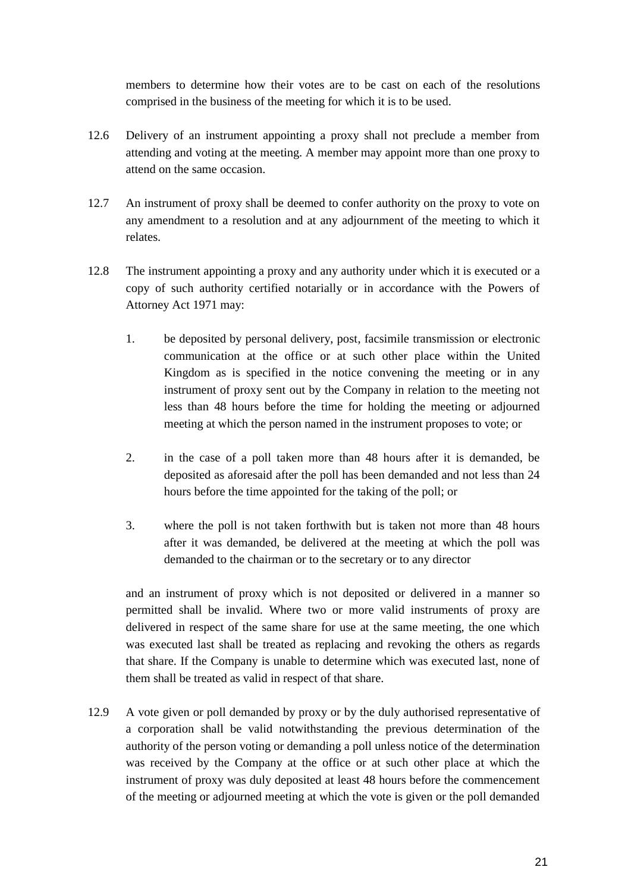members to determine how their votes are to be cast on each of the resolutions comprised in the business of the meeting for which it is to be used.

- 12.6 Delivery of an instrument appointing a proxy shall not preclude a member from attending and voting at the meeting. A member may appoint more than one proxy to attend on the same occasion.
- 12.7 An instrument of proxy shall be deemed to confer authority on the proxy to vote on any amendment to a resolution and at any adjournment of the meeting to which it relates.
- 12.8 The instrument appointing a proxy and any authority under which it is executed or a copy of such authority certified notarially or in accordance with the Powers of Attorney Act 1971 may:
	- 1. be deposited by personal delivery, post, facsimile transmission or electronic communication at the office or at such other place within the United Kingdom as is specified in the notice convening the meeting or in any instrument of proxy sent out by the Company in relation to the meeting not less than 48 hours before the time for holding the meeting or adjourned meeting at which the person named in the instrument proposes to vote; or
	- 2. in the case of a poll taken more than 48 hours after it is demanded, be deposited as aforesaid after the poll has been demanded and not less than 24 hours before the time appointed for the taking of the poll; or
	- 3. where the poll is not taken forthwith but is taken not more than 48 hours after it was demanded, be delivered at the meeting at which the poll was demanded to the chairman or to the secretary or to any director

and an instrument of proxy which is not deposited or delivered in a manner so permitted shall be invalid. Where two or more valid instruments of proxy are delivered in respect of the same share for use at the same meeting, the one which was executed last shall be treated as replacing and revoking the others as regards that share. If the Company is unable to determine which was executed last, none of them shall be treated as valid in respect of that share.

12.9 A vote given or poll demanded by proxy or by the duly authorised representative of a corporation shall be valid notwithstanding the previous determination of the authority of the person voting or demanding a poll unless notice of the determination was received by the Company at the office or at such other place at which the instrument of proxy was duly deposited at least 48 hours before the commencement of the meeting or adjourned meeting at which the vote is given or the poll demanded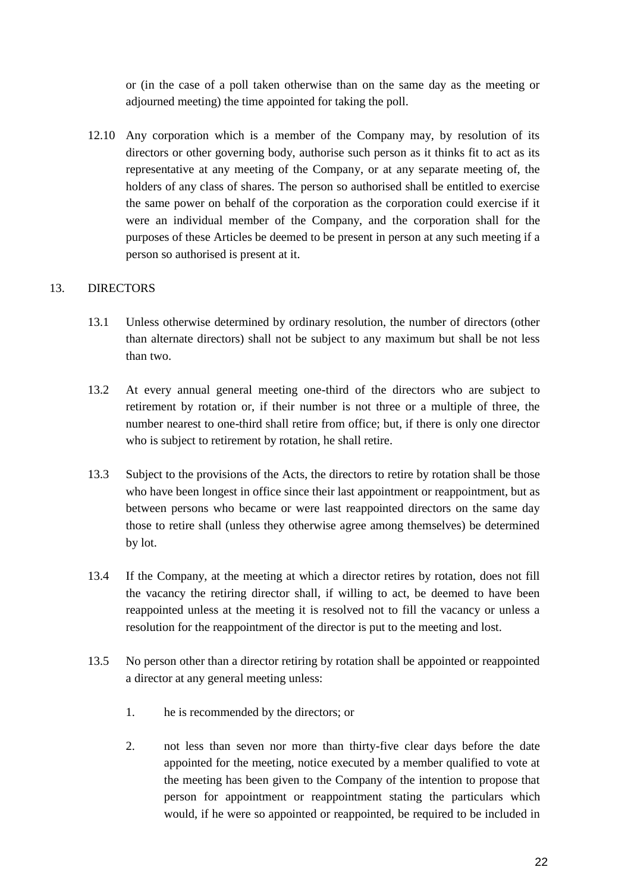or (in the case of a poll taken otherwise than on the same day as the meeting or adjourned meeting) the time appointed for taking the poll.

12.10 Any corporation which is a member of the Company may, by resolution of its directors or other governing body, authorise such person as it thinks fit to act as its representative at any meeting of the Company, or at any separate meeting of, the holders of any class of shares. The person so authorised shall be entitled to exercise the same power on behalf of the corporation as the corporation could exercise if it were an individual member of the Company, and the corporation shall for the purposes of these Articles be deemed to be present in person at any such meeting if a person so authorised is present at it.

## <span id="page-23-0"></span>13. DIRECTORS

- 13.1 Unless otherwise determined by ordinary resolution, the number of directors (other than alternate directors) shall not be subject to any maximum but shall be not less than two.
- 13.2 At every annual general meeting one-third of the directors who are subject to retirement by rotation or, if their number is not three or a multiple of three, the number nearest to one-third shall retire from office; but, if there is only one director who is subject to retirement by rotation, he shall retire.
- 13.3 Subject to the provisions of the Acts, the directors to retire by rotation shall be those who have been longest in office since their last appointment or reappointment, but as between persons who became or were last reappointed directors on the same day those to retire shall (unless they otherwise agree among themselves) be determined by lot.
- 13.4 If the Company, at the meeting at which a director retires by rotation, does not fill the vacancy the retiring director shall, if willing to act, be deemed to have been reappointed unless at the meeting it is resolved not to fill the vacancy or unless a resolution for the reappointment of the director is put to the meeting and lost.
- 13.5 No person other than a director retiring by rotation shall be appointed or reappointed a director at any general meeting unless:
	- 1. he is recommended by the directors; or
	- 2. not less than seven nor more than thirty-five clear days before the date appointed for the meeting, notice executed by a member qualified to vote at the meeting has been given to the Company of the intention to propose that person for appointment or reappointment stating the particulars which would, if he were so appointed or reappointed, be required to be included in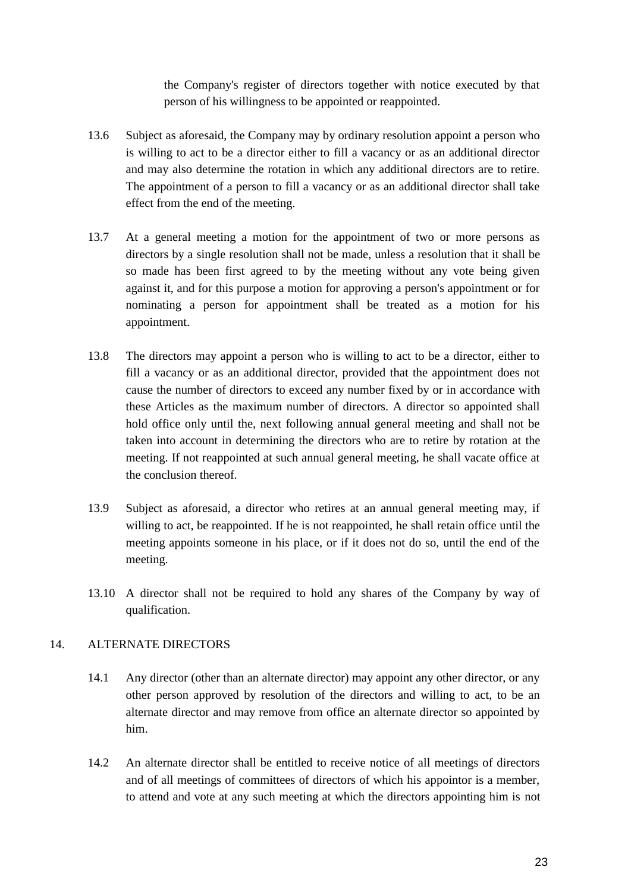the Company's register of directors together with notice executed by that person of his willingness to be appointed or reappointed.

- 13.6 Subject as aforesaid, the Company may by ordinary resolution appoint a person who is willing to act to be a director either to fill a vacancy or as an additional director and may also determine the rotation in which any additional directors are to retire. The appointment of a person to fill a vacancy or as an additional director shall take effect from the end of the meeting.
- 13.7 At a general meeting a motion for the appointment of two or more persons as directors by a single resolution shall not be made, unless a resolution that it shall be so made has been first agreed to by the meeting without any vote being given against it, and for this purpose a motion for approving a person's appointment or for nominating a person for appointment shall be treated as a motion for his appointment.
- 13.8 The directors may appoint a person who is willing to act to be a director, either to fill a vacancy or as an additional director, provided that the appointment does not cause the number of directors to exceed any number fixed by or in accordance with these Articles as the maximum number of directors. A director so appointed shall hold office only until the, next following annual general meeting and shall not be taken into account in determining the directors who are to retire by rotation at the meeting. If not reappointed at such annual general meeting, he shall vacate office at the conclusion thereof.
- 13.9 Subject as aforesaid, a director who retires at an annual general meeting may, if willing to act, be reappointed. If he is not reappointed, he shall retain office until the meeting appoints someone in his place, or if it does not do so, until the end of the meeting.
- 13.10 A director shall not be required to hold any shares of the Company by way of qualification.

## <span id="page-24-0"></span>14. ALTERNATE DIRECTORS

- 14.1 Any director (other than an alternate director) may appoint any other director, or any other person approved by resolution of the directors and willing to act, to be an alternate director and may remove from office an alternate director so appointed by him.
- 14.2 An alternate director shall be entitled to receive notice of all meetings of directors and of all meetings of committees of directors of which his appointor is a member, to attend and vote at any such meeting at which the directors appointing him is not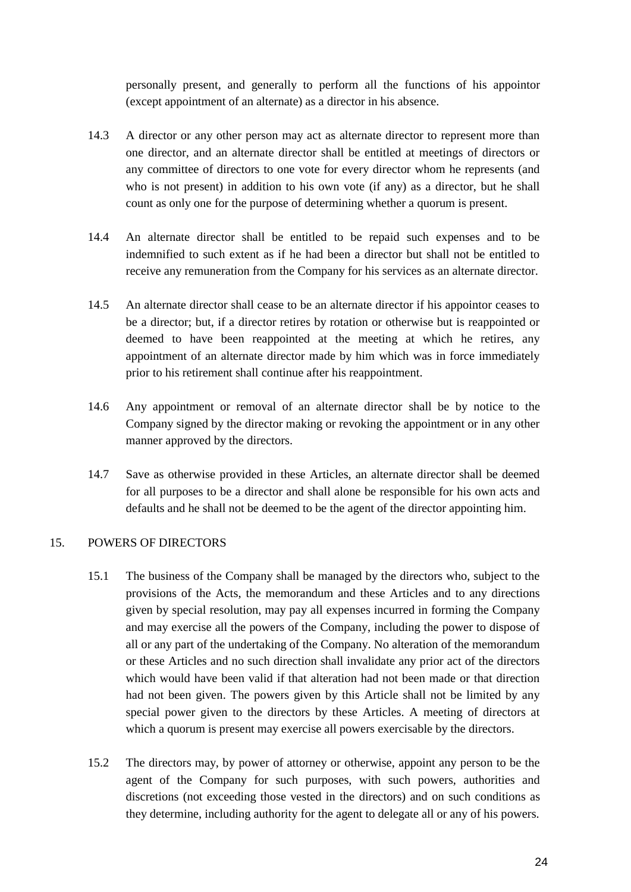personally present, and generally to perform all the functions of his appointor (except appointment of an alternate) as a director in his absence.

- 14.3 A director or any other person may act as alternate director to represent more than one director, and an alternate director shall be entitled at meetings of directors or any committee of directors to one vote for every director whom he represents (and who is not present) in addition to his own vote (if any) as a director, but he shall count as only one for the purpose of determining whether a quorum is present.
- 14.4 An alternate director shall be entitled to be repaid such expenses and to be indemnified to such extent as if he had been a director but shall not be entitled to receive any remuneration from the Company for his services as an alternate director.
- 14.5 An alternate director shall cease to be an alternate director if his appointor ceases to be a director; but, if a director retires by rotation or otherwise but is reappointed or deemed to have been reappointed at the meeting at which he retires, any appointment of an alternate director made by him which was in force immediately prior to his retirement shall continue after his reappointment.
- 14.6 Any appointment or removal of an alternate director shall be by notice to the Company signed by the director making or revoking the appointment or in any other manner approved by the directors.
- 14.7 Save as otherwise provided in these Articles, an alternate director shall be deemed for all purposes to be a director and shall alone be responsible for his own acts and defaults and he shall not be deemed to be the agent of the director appointing him.

## <span id="page-25-0"></span>15. POWERS OF DIRECTORS

- 15.1 The business of the Company shall be managed by the directors who, subject to the provisions of the Acts, the memorandum and these Articles and to any directions given by special resolution, may pay all expenses incurred in forming the Company and may exercise all the powers of the Company, including the power to dispose of all or any part of the undertaking of the Company. No alteration of the memorandum or these Articles and no such direction shall invalidate any prior act of the directors which would have been valid if that alteration had not been made or that direction had not been given. The powers given by this Article shall not be limited by any special power given to the directors by these Articles. A meeting of directors at which a quorum is present may exercise all powers exercisable by the directors.
- 15.2 The directors may, by power of attorney or otherwise, appoint any person to be the agent of the Company for such purposes, with such powers, authorities and discretions (not exceeding those vested in the directors) and on such conditions as they determine, including authority for the agent to delegate all or any of his powers.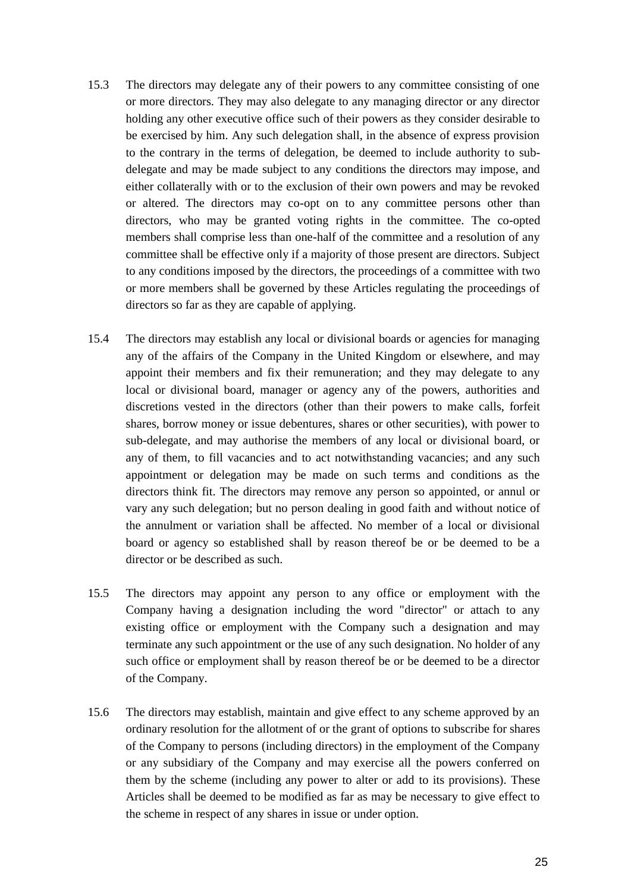- 15.3 The directors may delegate any of their powers to any committee consisting of one or more directors. They may also delegate to any managing director or any director holding any other executive office such of their powers as they consider desirable to be exercised by him. Any such delegation shall, in the absence of express provision to the contrary in the terms of delegation, be deemed to include authority to subdelegate and may be made subject to any conditions the directors may impose, and either collaterally with or to the exclusion of their own powers and may be revoked or altered. The directors may co-opt on to any committee persons other than directors, who may be granted voting rights in the committee. The co-opted members shall comprise less than one-half of the committee and a resolution of any committee shall be effective only if a majority of those present are directors. Subject to any conditions imposed by the directors, the proceedings of a committee with two or more members shall be governed by these Articles regulating the proceedings of directors so far as they are capable of applying.
- 15.4 The directors may establish any local or divisional boards or agencies for managing any of the affairs of the Company in the United Kingdom or elsewhere, and may appoint their members and fix their remuneration; and they may delegate to any local or divisional board, manager or agency any of the powers, authorities and discretions vested in the directors (other than their powers to make calls, forfeit shares, borrow money or issue debentures, shares or other securities), with power to sub-delegate, and may authorise the members of any local or divisional board, or any of them, to fill vacancies and to act notwithstanding vacancies; and any such appointment or delegation may be made on such terms and conditions as the directors think fit. The directors may remove any person so appointed, or annul or vary any such delegation; but no person dealing in good faith and without notice of the annulment or variation shall be affected. No member of a local or divisional board or agency so established shall by reason thereof be or be deemed to be a director or be described as such.
- 15.5 The directors may appoint any person to any office or employment with the Company having a designation including the word "director" or attach to any existing office or employment with the Company such a designation and may terminate any such appointment or the use of any such designation. No holder of any such office or employment shall by reason thereof be or be deemed to be a director of the Company.
- 15.6 The directors may establish, maintain and give effect to any scheme approved by an ordinary resolution for the allotment of or the grant of options to subscribe for shares of the Company to persons (including directors) in the employment of the Company or any subsidiary of the Company and may exercise all the powers conferred on them by the scheme (including any power to alter or add to its provisions). These Articles shall be deemed to be modified as far as may be necessary to give effect to the scheme in respect of any shares in issue or under option.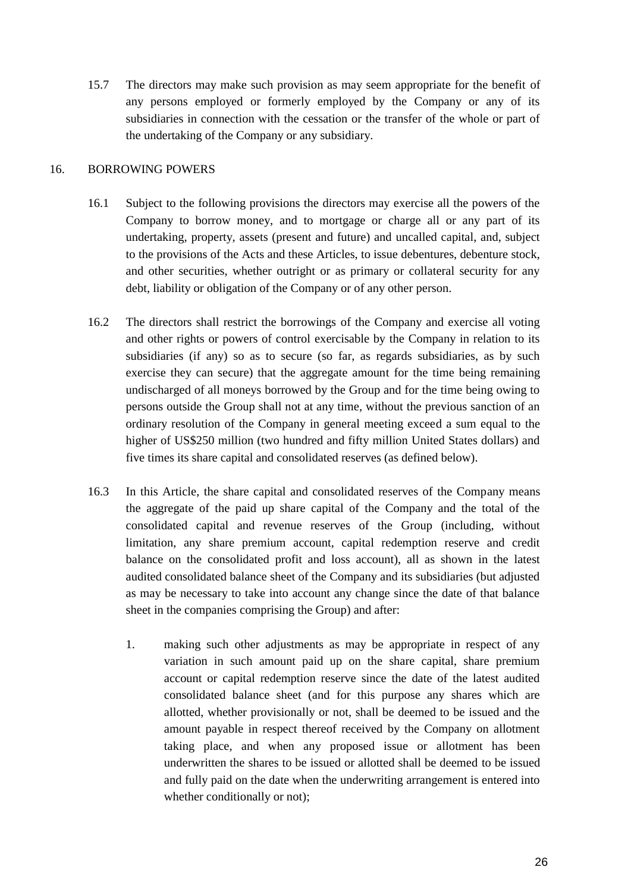15.7 The directors may make such provision as may seem appropriate for the benefit of any persons employed or formerly employed by the Company or any of its subsidiaries in connection with the cessation or the transfer of the whole or part of the undertaking of the Company or any subsidiary.

## <span id="page-27-0"></span>16. BORROWING POWERS

- 16.1 Subject to the following provisions the directors may exercise all the powers of the Company to borrow money, and to mortgage or charge all or any part of its undertaking, property, assets (present and future) and uncalled capital, and, subject to the provisions of the Acts and these Articles, to issue debentures, debenture stock, and other securities, whether outright or as primary or collateral security for any debt, liability or obligation of the Company or of any other person.
- 16.2 The directors shall restrict the borrowings of the Company and exercise all voting and other rights or powers of control exercisable by the Company in relation to its subsidiaries (if any) so as to secure (so far, as regards subsidiaries, as by such exercise they can secure) that the aggregate amount for the time being remaining undischarged of all moneys borrowed by the Group and for the time being owing to persons outside the Group shall not at any time, without the previous sanction of an ordinary resolution of the Company in general meeting exceed a sum equal to the higher of US\$250 million (two hundred and fifty million United States dollars) and five times its share capital and consolidated reserves (as defined below).
- 16.3 In this Article, the share capital and consolidated reserves of the Company means the aggregate of the paid up share capital of the Company and the total of the consolidated capital and revenue reserves of the Group (including, without limitation, any share premium account, capital redemption reserve and credit balance on the consolidated profit and loss account), all as shown in the latest audited consolidated balance sheet of the Company and its subsidiaries (but adjusted as may be necessary to take into account any change since the date of that balance sheet in the companies comprising the Group) and after:
	- 1. making such other adjustments as may be appropriate in respect of any variation in such amount paid up on the share capital, share premium account or capital redemption reserve since the date of the latest audited consolidated balance sheet (and for this purpose any shares which are allotted, whether provisionally or not, shall be deemed to be issued and the amount payable in respect thereof received by the Company on allotment taking place, and when any proposed issue or allotment has been underwritten the shares to be issued or allotted shall be deemed to be issued and fully paid on the date when the underwriting arrangement is entered into whether conditionally or not);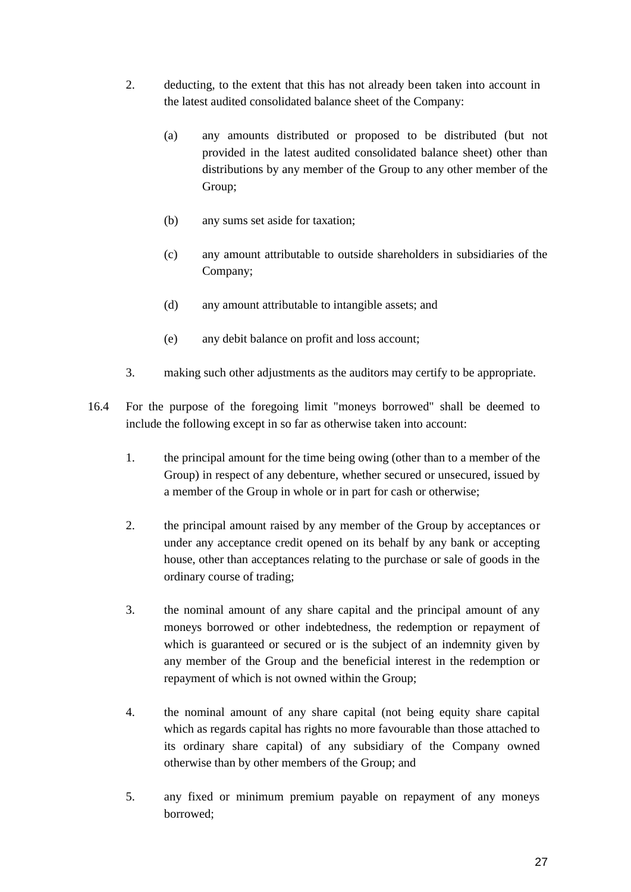- 2. deducting, to the extent that this has not already been taken into account in the latest audited consolidated balance sheet of the Company:
	- (a) any amounts distributed or proposed to be distributed (but not provided in the latest audited consolidated balance sheet) other than distributions by any member of the Group to any other member of the Group;
	- (b) any sums set aside for taxation;
	- (c) any amount attributable to outside shareholders in subsidiaries of the Company;
	- (d) any amount attributable to intangible assets; and
	- (e) any debit balance on profit and loss account;
- 3. making such other adjustments as the auditors may certify to be appropriate.
- 16.4 For the purpose of the foregoing limit "moneys borrowed" shall be deemed to include the following except in so far as otherwise taken into account:
	- 1. the principal amount for the time being owing (other than to a member of the Group) in respect of any debenture, whether secured or unsecured, issued by a member of the Group in whole or in part for cash or otherwise;
	- 2. the principal amount raised by any member of the Group by acceptances or under any acceptance credit opened on its behalf by any bank or accepting house, other than acceptances relating to the purchase or sale of goods in the ordinary course of trading;
	- 3. the nominal amount of any share capital and the principal amount of any moneys borrowed or other indebtedness, the redemption or repayment of which is guaranteed or secured or is the subject of an indemnity given by any member of the Group and the beneficial interest in the redemption or repayment of which is not owned within the Group;
	- 4. the nominal amount of any share capital (not being equity share capital which as regards capital has rights no more favourable than those attached to its ordinary share capital) of any subsidiary of the Company owned otherwise than by other members of the Group; and
	- 5. any fixed or minimum premium payable on repayment of any moneys borrowed;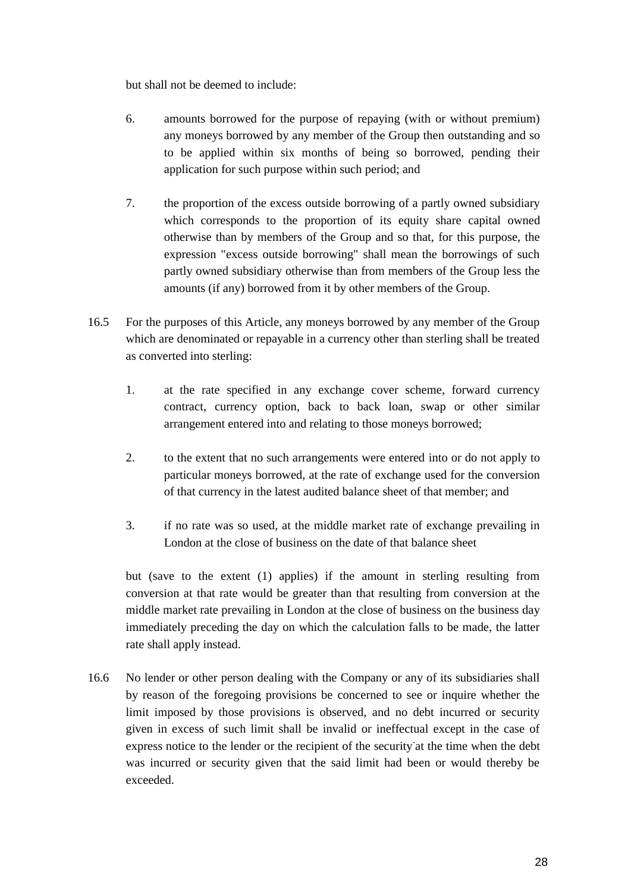but shall not be deemed to include:

- 6. amounts borrowed for the purpose of repaying (with or without premium) any moneys borrowed by any member of the Group then outstanding and so to be applied within six months of being so borrowed, pending their application for such purpose within such period; and
- 7. the proportion of the excess outside borrowing of a partly owned subsidiary which corresponds to the proportion of its equity share capital owned otherwise than by members of the Group and so that, for this purpose, the expression "excess outside borrowing" shall mean the borrowings of such partly owned subsidiary otherwise than from members of the Group less the amounts (if any) borrowed from it by other members of the Group.
- 16.5 For the purposes of this Article, any moneys borrowed by any member of the Group which are denominated or repayable in a currency other than sterling shall be treated as converted into sterling:
	- 1. at the rate specified in any exchange cover scheme, forward currency contract, currency option, back to back loan, swap or other similar arrangement entered into and relating to those moneys borrowed;
	- 2. to the extent that no such arrangements were entered into or do not apply to particular moneys borrowed, at the rate of exchange used for the conversion of that currency in the latest audited balance sheet of that member; and
	- 3. if no rate was so used, at the middle market rate of exchange prevailing in London at the close of business on the date of that balance sheet

but (save to the extent (1) applies) if the amount in sterling resulting from conversion at that rate would be greater than that resulting from conversion at the middle market rate prevailing in London at the close of business on the business day immediately preceding the day on which the calculation falls to be made, the latter rate shall apply instead.

16.6 No lender or other person dealing with the Company or any of its subsidiaries shall by reason of the foregoing provisions be concerned to see or inquire whether the limit imposed by those provisions is observed, and no debt incurred or security given in excess of such limit shall be invalid or ineffectual except in the case of express notice to the lender or the recipient of the security at the time when the debt was incurred or security given that the said limit had been or would thereby be exceeded.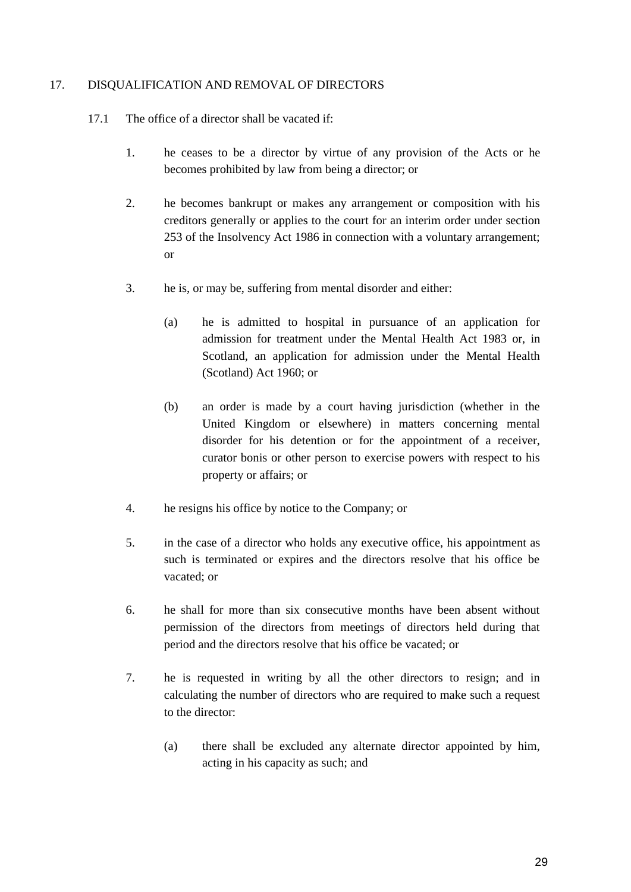## <span id="page-30-0"></span>17. DISQUALIFICATION AND REMOVAL OF DIRECTORS

- 17.1 The office of a director shall be vacated if:
	- 1. he ceases to be a director by virtue of any provision of the Acts or he becomes prohibited by law from being a director; or
	- 2. he becomes bankrupt or makes any arrangement or composition with his creditors generally or applies to the court for an interim order under section 253 of the Insolvency Act 1986 in connection with a voluntary arrangement; or
	- 3. he is, or may be, suffering from mental disorder and either:
		- (a) he is admitted to hospital in pursuance of an application for admission for treatment under the Mental Health Act 1983 or, in Scotland, an application for admission under the Mental Health (Scotland) Act 1960; or
		- (b) an order is made by a court having jurisdiction (whether in the United Kingdom or elsewhere) in matters concerning mental disorder for his detention or for the appointment of a receiver, curator bonis or other person to exercise powers with respect to his property or affairs; or
	- 4. he resigns his office by notice to the Company; or
	- 5. in the case of a director who holds any executive office, his appointment as such is terminated or expires and the directors resolve that his office be vacated; or
	- 6. he shall for more than six consecutive months have been absent without permission of the directors from meetings of directors held during that period and the directors resolve that his office be vacated; or
	- 7. he is requested in writing by all the other directors to resign; and in calculating the number of directors who are required to make such a request to the director:
		- (a) there shall be excluded any alternate director appointed by him, acting in his capacity as such; and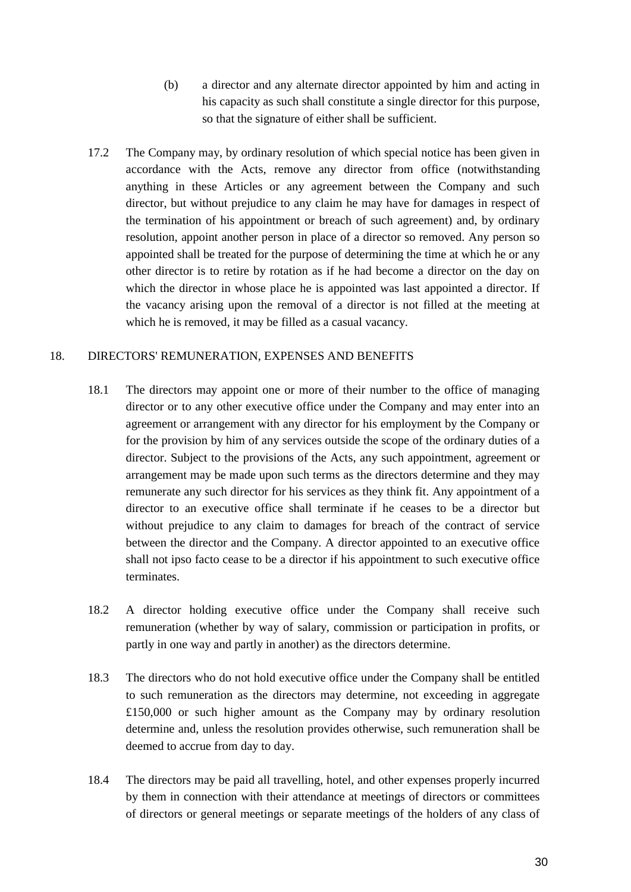- (b) a director and any alternate director appointed by him and acting in his capacity as such shall constitute a single director for this purpose, so that the signature of either shall be sufficient.
- 17.2 The Company may, by ordinary resolution of which special notice has been given in accordance with the Acts, remove any director from office (notwithstanding anything in these Articles or any agreement between the Company and such director, but without prejudice to any claim he may have for damages in respect of the termination of his appointment or breach of such agreement) and, by ordinary resolution, appoint another person in place of a director so removed. Any person so appointed shall be treated for the purpose of determining the time at which he or any other director is to retire by rotation as if he had become a director on the day on which the director in whose place he is appointed was last appointed a director. If the vacancy arising upon the removal of a director is not filled at the meeting at which he is removed, it may be filled as a casual vacancy.

## <span id="page-31-0"></span>18. DIRECTORS' REMUNERATION, EXPENSES AND BENEFITS

- 18.1 The directors may appoint one or more of their number to the office of managing director or to any other executive office under the Company and may enter into an agreement or arrangement with any director for his employment by the Company or for the provision by him of any services outside the scope of the ordinary duties of a director. Subject to the provisions of the Acts, any such appointment, agreement or arrangement may be made upon such terms as the directors determine and they may remunerate any such director for his services as they think fit. Any appointment of a director to an executive office shall terminate if he ceases to be a director but without prejudice to any claim to damages for breach of the contract of service between the director and the Company. A director appointed to an executive office shall not ipso facto cease to be a director if his appointment to such executive office terminates.
- 18.2 A director holding executive office under the Company shall receive such remuneration (whether by way of salary, commission or participation in profits, or partly in one way and partly in another) as the directors determine.
- 18.3 The directors who do not hold executive office under the Company shall be entitled to such remuneration as the directors may determine, not exceeding in aggregate £150,000 or such higher amount as the Company may by ordinary resolution determine and, unless the resolution provides otherwise, such remuneration shall be deemed to accrue from day to day.
- 18.4 The directors may be paid all travelling, hotel, and other expenses properly incurred by them in connection with their attendance at meetings of directors or committees of directors or general meetings or separate meetings of the holders of any class of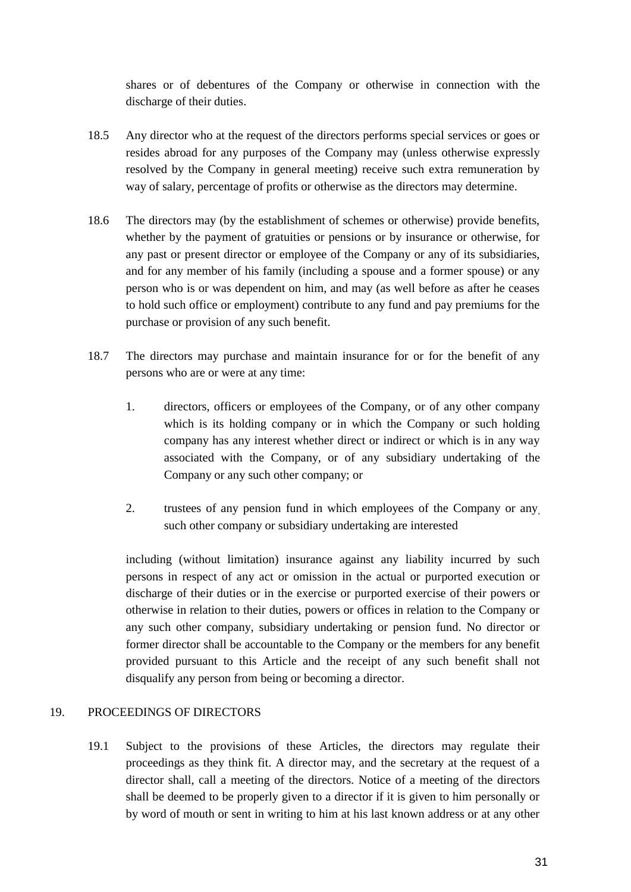shares or of debentures of the Company or otherwise in connection with the discharge of their duties.

- 18.5 Any director who at the request of the directors performs special services or goes or resides abroad for any purposes of the Company may (unless otherwise expressly resolved by the Company in general meeting) receive such extra remuneration by way of salary, percentage of profits or otherwise as the directors may determine.
- 18.6 The directors may (by the establishment of schemes or otherwise) provide benefits, whether by the payment of gratuities or pensions or by insurance or otherwise, for any past or present director or employee of the Company or any of its subsidiaries, and for any member of his family (including a spouse and a former spouse) or any person who is or was dependent on him, and may (as well before as after he ceases to hold such office or employment) contribute to any fund and pay premiums for the purchase or provision of any such benefit.
- 18.7 The directors may purchase and maintain insurance for or for the benefit of any persons who are or were at any time:
	- 1. directors, officers or employees of the Company, or of any other company which is its holding company or in which the Company or such holding company has any interest whether direct or indirect or which is in any way associated with the Company, or of any subsidiary undertaking of the Company or any such other company; or
	- 2. trustees of any pension fund in which employees of the Company or any, such other company or subsidiary undertaking are interested

including (without limitation) insurance against any liability incurred by such persons in respect of any act or omission in the actual or purported execution or discharge of their duties or in the exercise or purported exercise of their powers or otherwise in relation to their duties, powers or offices in relation to the Company or any such other company, subsidiary undertaking or pension fund. No director or former director shall be accountable to the Company or the members for any benefit provided pursuant to this Article and the receipt of any such benefit shall not disqualify any person from being or becoming a director.

## <span id="page-32-0"></span>19. PROCEEDINGS OF DIRECTORS

19.1 Subject to the provisions of these Articles, the directors may regulate their proceedings as they think fit. A director may, and the secretary at the request of a director shall, call a meeting of the directors. Notice of a meeting of the directors shall be deemed to be properly given to a director if it is given to him personally or by word of mouth or sent in writing to him at his last known address or at any other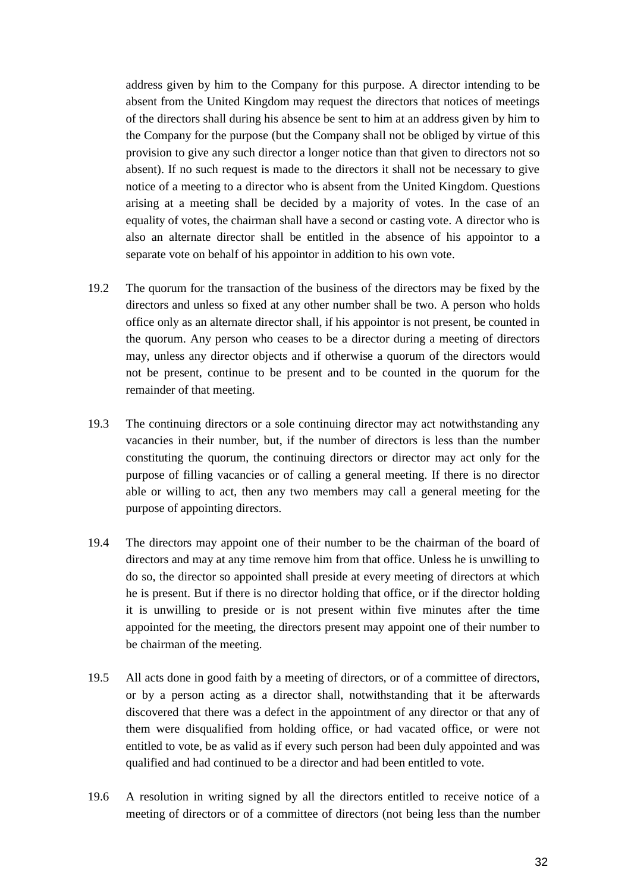address given by him to the Company for this purpose. A director intending to be absent from the United Kingdom may request the directors that notices of meetings of the directors shall during his absence be sent to him at an address given by him to the Company for the purpose (but the Company shall not be obliged by virtue of this provision to give any such director a longer notice than that given to directors not so absent). If no such request is made to the directors it shall not be necessary to give notice of a meeting to a director who is absent from the United Kingdom. Questions arising at a meeting shall be decided by a majority of votes. In the case of an equality of votes, the chairman shall have a second or casting vote. A director who is also an alternate director shall be entitled in the absence of his appointor to a separate vote on behalf of his appointor in addition to his own vote.

- 19.2 The quorum for the transaction of the business of the directors may be fixed by the directors and unless so fixed at any other number shall be two. A person who holds office only as an alternate director shall, if his appointor is not present, be counted in the quorum. Any person who ceases to be a director during a meeting of directors may, unless any director objects and if otherwise a quorum of the directors would not be present, continue to be present and to be counted in the quorum for the remainder of that meeting.
- 19.3 The continuing directors or a sole continuing director may act notwithstanding any vacancies in their number, but, if the number of directors is less than the number constituting the quorum, the continuing directors or director may act only for the purpose of filling vacancies or of calling a general meeting. If there is no director able or willing to act, then any two members may call a general meeting for the purpose of appointing directors.
- 19.4 The directors may appoint one of their number to be the chairman of the board of directors and may at any time remove him from that office. Unless he is unwilling to do so, the director so appointed shall preside at every meeting of directors at which he is present. But if there is no director holding that office, or if the director holding it is unwilling to preside or is not present within five minutes after the time appointed for the meeting, the directors present may appoint one of their number to be chairman of the meeting.
- 19.5 All acts done in good faith by a meeting of directors, or of a committee of directors, or by a person acting as a director shall, notwithstanding that it be afterwards discovered that there was a defect in the appointment of any director or that any of them were disqualified from holding office, or had vacated office, or were not entitled to vote, be as valid as if every such person had been duly appointed and was qualified and had continued to be a director and had been entitled to vote.
- 19.6 A resolution in writing signed by all the directors entitled to receive notice of a meeting of directors or of a committee of directors (not being less than the number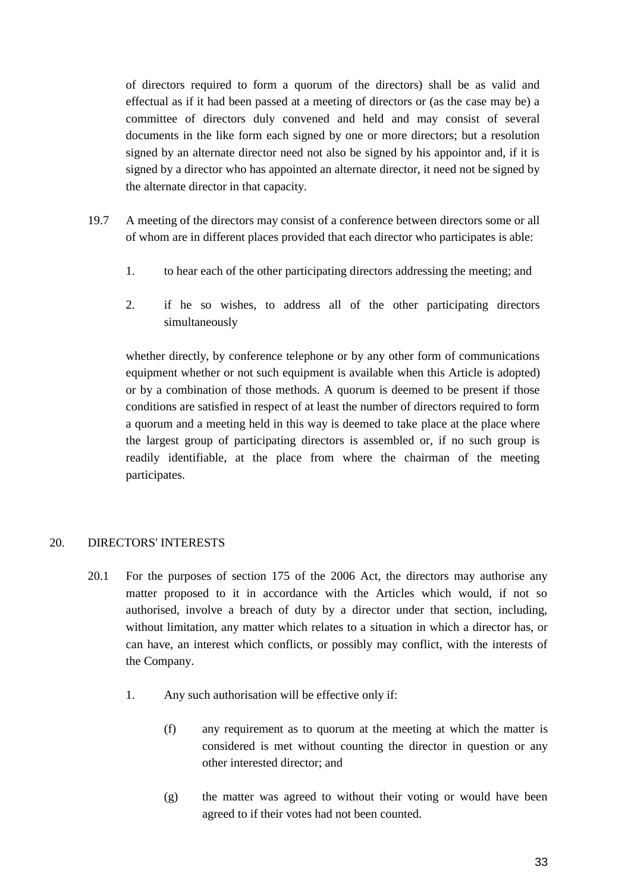of directors required to form a quorum of the directors) shall be as valid and effectual as if it had been passed at a meeting of directors or (as the case may be) a committee of directors duly convened and held and may consist of several documents in the like form each signed by one or more directors; but a resolution signed by an alternate director need not also be signed by his appointor and, if it is signed by a director who has appointed an alternate director, it need not be signed by the alternate director in that capacity.

- 19.7 A meeting of the directors may consist of a conference between directors some or all of whom are in different places provided that each director who participates is able:
	- 1. to hear each of the other participating directors addressing the meeting; and
	- 2. if he so wishes, to address all of the other participating directors simultaneously

whether directly, by conference telephone or by any other form of communications equipment whether or not such equipment is available when this Article is adopted) or by a combination of those methods. A quorum is deemed to be present if those conditions are satisfied in respect of at least the number of directors required to form a quorum and a meeting held in this way is deemed to take place at the place where the largest group of participating directors is assembled or, if no such group is readily identifiable, at the place from where the chairman of the meeting participates.

## <span id="page-34-0"></span>20. DIRECTORS' INTERESTS

- 20.1 For the purposes of section 175 of the 2006 Act, the directors may authorise any matter proposed to it in accordance with the Articles which would, if not so authorised, involve a breach of duty by a director under that section, including, without limitation, any matter which relates to a situation in which a director has, or can have, an interest which conflicts, or possibly may conflict, with the interests of the Company.
	- 1. Any such authorisation will be effective only if:
		- (f) any requirement as to quorum at the meeting at which the matter is considered is met without counting the director in question or any other interested director; and
		- (g) the matter was agreed to without their voting or would have been agreed to if their votes had not been counted.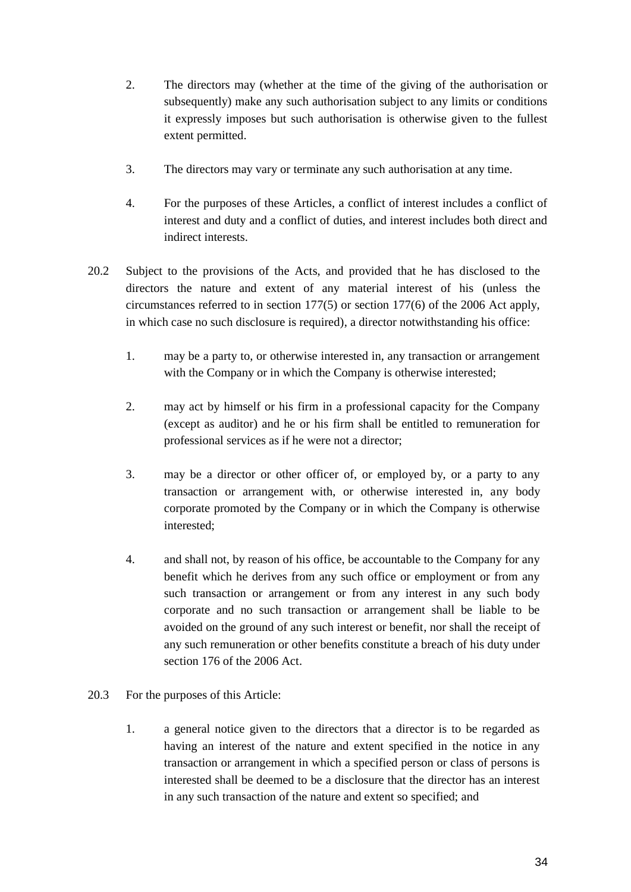- 2. The directors may (whether at the time of the giving of the authorisation or subsequently) make any such authorisation subject to any limits or conditions it expressly imposes but such authorisation is otherwise given to the fullest extent permitted.
- 3. The directors may vary or terminate any such authorisation at any time.
- 4. For the purposes of these Articles, a conflict of interest includes a conflict of interest and duty and a conflict of duties, and interest includes both direct and indirect interests.
- 20.2 Subject to the provisions of the Acts, and provided that he has disclosed to the directors the nature and extent of any material interest of his (unless the circumstances referred to in section 177(5) or section 177(6) of the 2006 Act apply, in which case no such disclosure is required), a director notwithstanding his office:
	- 1. may be a party to, or otherwise interested in, any transaction or arrangement with the Company or in which the Company is otherwise interested;
	- 2. may act by himself or his firm in a professional capacity for the Company (except as auditor) and he or his firm shall be entitled to remuneration for professional services as if he were not a director;
	- 3. may be a director or other officer of, or employed by, or a party to any transaction or arrangement with, or otherwise interested in, any body corporate promoted by the Company or in which the Company is otherwise interested;
	- 4. and shall not, by reason of his office, be accountable to the Company for any benefit which he derives from any such office or employment or from any such transaction or arrangement or from any interest in any such body corporate and no such transaction or arrangement shall be liable to be avoided on the ground of any such interest or benefit, nor shall the receipt of any such remuneration or other benefits constitute a breach of his duty under section 176 of the 2006 Act.
- 20.3 For the purposes of this Article:
	- 1. a general notice given to the directors that a director is to be regarded as having an interest of the nature and extent specified in the notice in any transaction or arrangement in which a specified person or class of persons is interested shall be deemed to be a disclosure that the director has an interest in any such transaction of the nature and extent so specified; and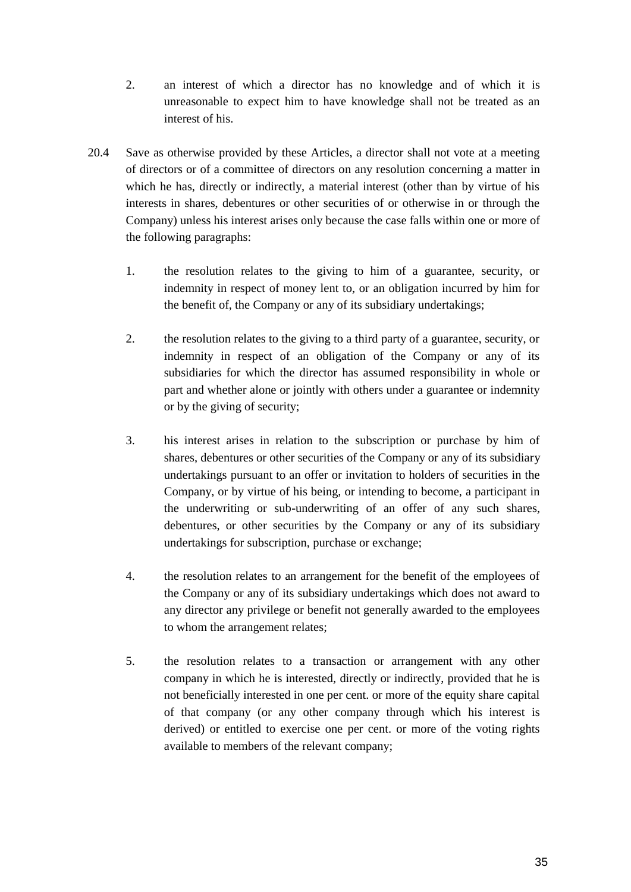- 2. an interest of which a director has no knowledge and of which it is unreasonable to expect him to have knowledge shall not be treated as an interest of his.
- 20.4 Save as otherwise provided by these Articles, a director shall not vote at a meeting of directors or of a committee of directors on any resolution concerning a matter in which he has, directly or indirectly, a material interest (other than by virtue of his interests in shares, debentures or other securities of or otherwise in or through the Company) unless his interest arises only because the case falls within one or more of the following paragraphs:
	- 1. the resolution relates to the giving to him of a guarantee, security, or indemnity in respect of money lent to, or an obligation incurred by him for the benefit of, the Company or any of its subsidiary undertakings;
	- 2. the resolution relates to the giving to a third party of a guarantee, security, or indemnity in respect of an obligation of the Company or any of its subsidiaries for which the director has assumed responsibility in whole or part and whether alone or jointly with others under a guarantee or indemnity or by the giving of security;
	- 3. his interest arises in relation to the subscription or purchase by him of shares, debentures or other securities of the Company or any of its subsidiary undertakings pursuant to an offer or invitation to holders of securities in the Company, or by virtue of his being, or intending to become, a participant in the underwriting or sub-underwriting of an offer of any such shares, debentures, or other securities by the Company or any of its subsidiary undertakings for subscription, purchase or exchange;
	- 4. the resolution relates to an arrangement for the benefit of the employees of the Company or any of its subsidiary undertakings which does not award to any director any privilege or benefit not generally awarded to the employees to whom the arrangement relates;
	- 5. the resolution relates to a transaction or arrangement with any other company in which he is interested, directly or indirectly, provided that he is not beneficially interested in one per cent. or more of the equity share capital of that company (or any other company through which his interest is derived) or entitled to exercise one per cent. or more of the voting rights available to members of the relevant company;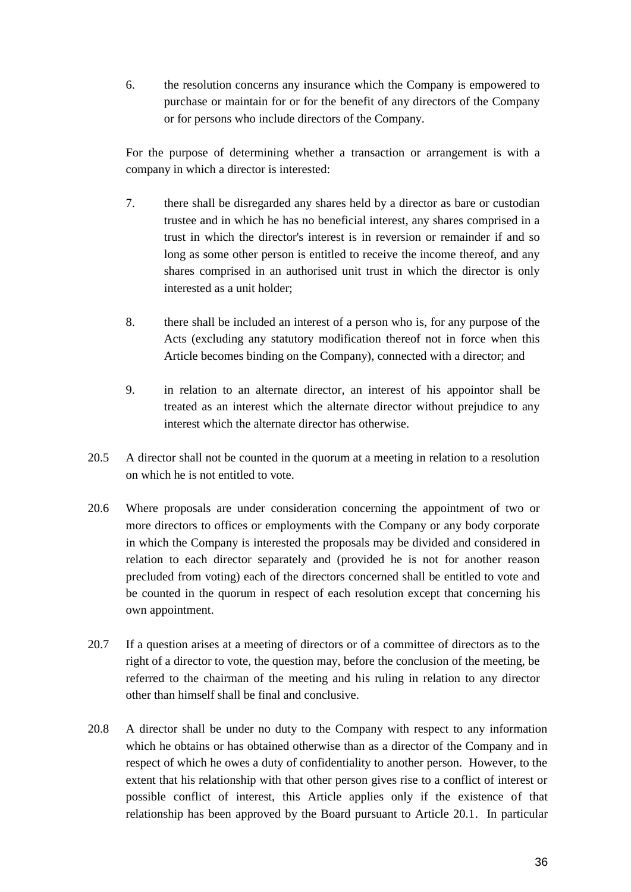6. the resolution concerns any insurance which the Company is empowered to purchase or maintain for or for the benefit of any directors of the Company or for persons who include directors of the Company.

For the purpose of determining whether a transaction or arrangement is with a company in which a director is interested:

- 7. there shall be disregarded any shares held by a director as bare or custodian trustee and in which he has no beneficial interest, any shares comprised in a trust in which the director's interest is in reversion or remainder if and so long as some other person is entitled to receive the income thereof, and any shares comprised in an authorised unit trust in which the director is only interested as a unit holder;
- 8. there shall be included an interest of a person who is, for any purpose of the Acts (excluding any statutory modification thereof not in force when this Article becomes binding on the Company), connected with a director; and
- 9. in relation to an alternate director, an interest of his appointor shall be treated as an interest which the alternate director without prejudice to any interest which the alternate director has otherwise.
- 20.5 A director shall not be counted in the quorum at a meeting in relation to a resolution on which he is not entitled to vote.
- 20.6 Where proposals are under consideration concerning the appointment of two or more directors to offices or employments with the Company or any body corporate in which the Company is interested the proposals may be divided and considered in relation to each director separately and (provided he is not for another reason precluded from voting) each of the directors concerned shall be entitled to vote and be counted in the quorum in respect of each resolution except that concerning his own appointment.
- 20.7 If a question arises at a meeting of directors or of a committee of directors as to the right of a director to vote, the question may, before the conclusion of the meeting, be referred to the chairman of the meeting and his ruling in relation to any director other than himself shall be final and conclusive.
- 20.8 A director shall be under no duty to the Company with respect to any information which he obtains or has obtained otherwise than as a director of the Company and in respect of which he owes a duty of confidentiality to another person. However, to the extent that his relationship with that other person gives rise to a conflict of interest or possible conflict of interest, this Article applies only if the existence of that relationship has been approved by the Board pursuant to Article 20.1. In particular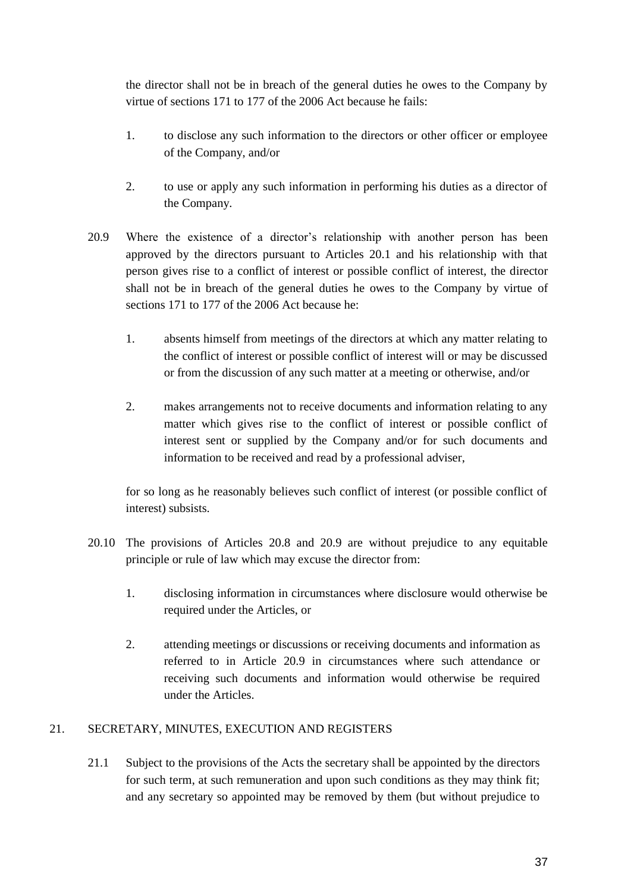the director shall not be in breach of the general duties he owes to the Company by virtue of sections 171 to 177 of the 2006 Act because he fails:

- 1. to disclose any such information to the directors or other officer or employee of the Company, and/or
- 2. to use or apply any such information in performing his duties as a director of the Company.
- 20.9 Where the existence of a director's relationship with another person has been approved by the directors pursuant to Articles 20.1 and his relationship with that person gives rise to a conflict of interest or possible conflict of interest, the director shall not be in breach of the general duties he owes to the Company by virtue of sections 171 to 177 of the 2006 Act because he:
	- 1. absents himself from meetings of the directors at which any matter relating to the conflict of interest or possible conflict of interest will or may be discussed or from the discussion of any such matter at a meeting or otherwise, and/or
	- 2. makes arrangements not to receive documents and information relating to any matter which gives rise to the conflict of interest or possible conflict of interest sent or supplied by the Company and/or for such documents and information to be received and read by a professional adviser,

for so long as he reasonably believes such conflict of interest (or possible conflict of interest) subsists.

- 20.10 The provisions of Articles 20.8 and 20.9 are without prejudice to any equitable principle or rule of law which may excuse the director from:
	- 1. disclosing information in circumstances where disclosure would otherwise be required under the Articles, or
	- 2. attending meetings or discussions or receiving documents and information as referred to in Article 20.9 in circumstances where such attendance or receiving such documents and information would otherwise be required under the Articles.

## <span id="page-38-0"></span>21. SECRETARY, MINUTES, EXECUTION AND REGISTERS

21.1 Subject to the provisions of the Acts the secretary shall be appointed by the directors for such term, at such remuneration and upon such conditions as they may think fit; and any secretary so appointed may be removed by them (but without prejudice to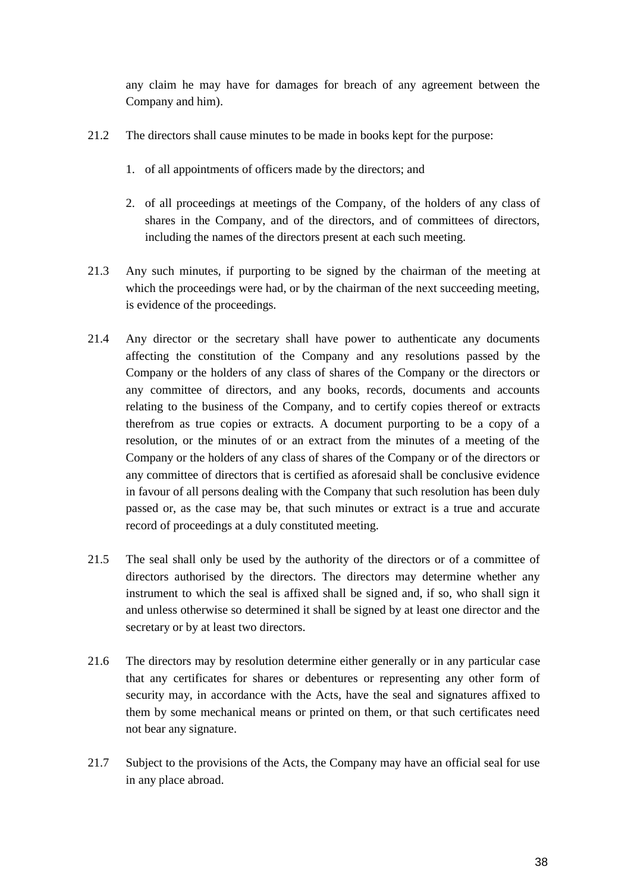any claim he may have for damages for breach of any agreement between the Company and him).

- 21.2 The directors shall cause minutes to be made in books kept for the purpose:
	- 1. of all appointments of officers made by the directors; and
	- 2. of all proceedings at meetings of the Company, of the holders of any class of shares in the Company, and of the directors, and of committees of directors, including the names of the directors present at each such meeting.
- 21.3 Any such minutes, if purporting to be signed by the chairman of the meeting at which the proceedings were had, or by the chairman of the next succeeding meeting, is evidence of the proceedings.
- 21.4 Any director or the secretary shall have power to authenticate any documents affecting the constitution of the Company and any resolutions passed by the Company or the holders of any class of shares of the Company or the directors or any committee of directors, and any books, records, documents and accounts relating to the business of the Company, and to certify copies thereof or extracts therefrom as true copies or extracts. A document purporting to be a copy of a resolution, or the minutes of or an extract from the minutes of a meeting of the Company or the holders of any class of shares of the Company or of the directors or any committee of directors that is certified as aforesaid shall be conclusive evidence in favour of all persons dealing with the Company that such resolution has been duly passed or, as the case may be, that such minutes or extract is a true and accurate record of proceedings at a duly constituted meeting.
- 21.5 The seal shall only be used by the authority of the directors or of a committee of directors authorised by the directors. The directors may determine whether any instrument to which the seal is affixed shall be signed and, if so, who shall sign it and unless otherwise so determined it shall be signed by at least one director and the secretary or by at least two directors.
- 21.6 The directors may by resolution determine either generally or in any particular case that any certificates for shares or debentures or representing any other form of security may, in accordance with the Acts, have the seal and signatures affixed to them by some mechanical means or printed on them, or that such certificates need not bear any signature.
- 21.7 Subject to the provisions of the Acts, the Company may have an official seal for use in any place abroad.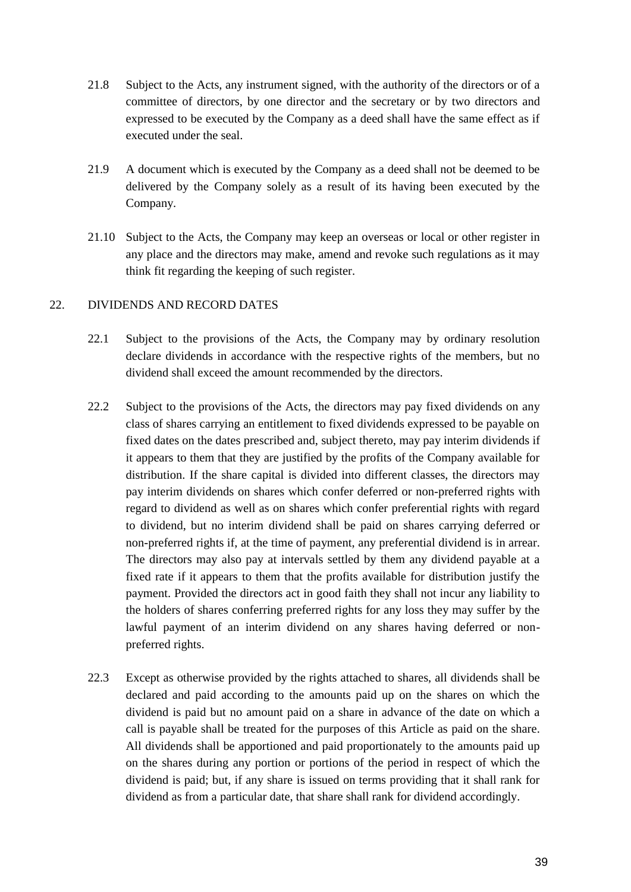- 21.8 Subject to the Acts, any instrument signed, with the authority of the directors or of a committee of directors, by one director and the secretary or by two directors and expressed to be executed by the Company as a deed shall have the same effect as if executed under the seal.
- 21.9 A document which is executed by the Company as a deed shall not be deemed to be delivered by the Company solely as a result of its having been executed by the Company.
- 21.10 Subject to the Acts, the Company may keep an overseas or local or other register in any place and the directors may make, amend and revoke such regulations as it may think fit regarding the keeping of such register.

## <span id="page-40-0"></span>22. DIVIDENDS AND RECORD DATES

- 22.1 Subject to the provisions of the Acts, the Company may by ordinary resolution declare dividends in accordance with the respective rights of the members, but no dividend shall exceed the amount recommended by the directors.
- 22.2 Subject to the provisions of the Acts, the directors may pay fixed dividends on any class of shares carrying an entitlement to fixed dividends expressed to be payable on fixed dates on the dates prescribed and, subject thereto, may pay interim dividends if it appears to them that they are justified by the profits of the Company available for distribution. If the share capital is divided into different classes, the directors may pay interim dividends on shares which confer deferred or non-preferred rights with regard to dividend as well as on shares which confer preferential rights with regard to dividend, but no interim dividend shall be paid on shares carrying deferred or non-preferred rights if, at the time of payment, any preferential dividend is in arrear. The directors may also pay at intervals settled by them any dividend payable at a fixed rate if it appears to them that the profits available for distribution justify the payment. Provided the directors act in good faith they shall not incur any liability to the holders of shares conferring preferred rights for any loss they may suffer by the lawful payment of an interim dividend on any shares having deferred or nonpreferred rights.
- 22.3 Except as otherwise provided by the rights attached to shares, all dividends shall be declared and paid according to the amounts paid up on the shares on which the dividend is paid but no amount paid on a share in advance of the date on which a call is payable shall be treated for the purposes of this Article as paid on the share. All dividends shall be apportioned and paid proportionately to the amounts paid up on the shares during any portion or portions of the period in respect of which the dividend is paid; but, if any share is issued on terms providing that it shall rank for dividend as from a particular date, that share shall rank for dividend accordingly.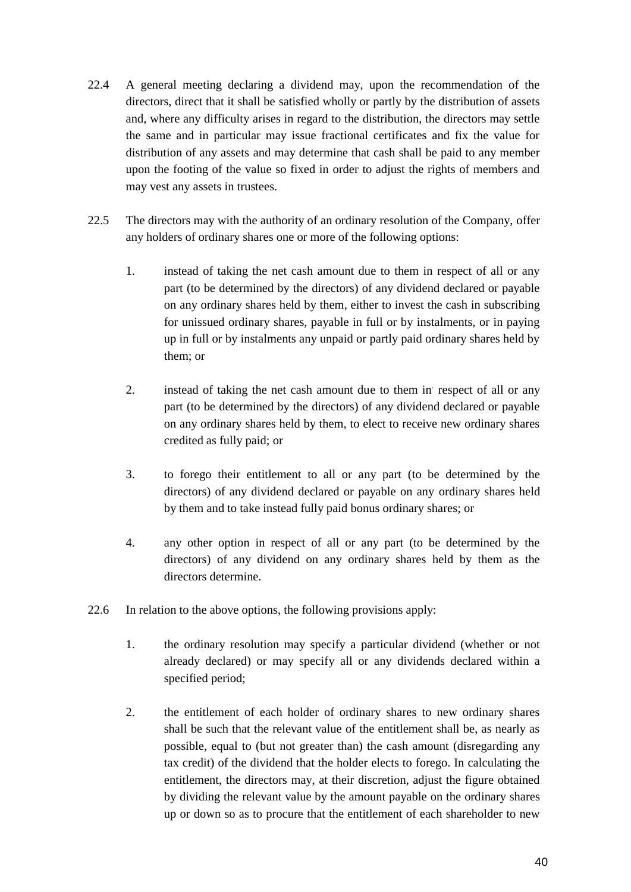- 22.4 A general meeting declaring a dividend may, upon the recommendation of the directors, direct that it shall be satisfied wholly or partly by the distribution of assets and, where any difficulty arises in regard to the distribution, the directors may settle the same and in particular may issue fractional certificates and fix the value for distribution of any assets and may determine that cash shall be paid to any member upon the footing of the value so fixed in order to adjust the rights of members and may vest any assets in trustees.
- 22.5 The directors may with the authority of an ordinary resolution of the Company, offer any holders of ordinary shares one or more of the following options:
	- 1. instead of taking the net cash amount due to them in respect of all or any part (to be determined by the directors) of any dividend declared or payable on any ordinary shares held by them, either to invest the cash in subscribing for unissued ordinary shares, payable in full or by instalments, or in paying up in full or by instalments any unpaid or partly paid ordinary shares held by them; or
	- 2. instead of taking the net cash amount due to them in respect of all or any part (to be determined by the directors) of any dividend declared or payable on any ordinary shares held by them, to elect to receive new ordinary shares credited as fully paid; or
	- 3. to forego their entitlement to all or any part (to be determined by the directors) of any dividend declared or payable on any ordinary shares held by them and to take instead fully paid bonus ordinary shares; or
	- 4. any other option in respect of all or any part (to be determined by the directors) of any dividend on any ordinary shares held by them as the directors determine.
- 22.6 In relation to the above options, the following provisions apply:
	- 1. the ordinary resolution may specify a particular dividend (whether or not already declared) or may specify all or any dividends declared within a specified period;
	- 2. the entitlement of each holder of ordinary shares to new ordinary shares shall be such that the relevant value of the entitlement shall be, as nearly as possible, equal to (but not greater than) the cash amount (disregarding any tax credit) of the dividend that the holder elects to forego. In calculating the entitlement, the directors may, at their discretion, adjust the figure obtained by dividing the relevant value by the amount payable on the ordinary shares up or down so as to procure that the entitlement of each shareholder to new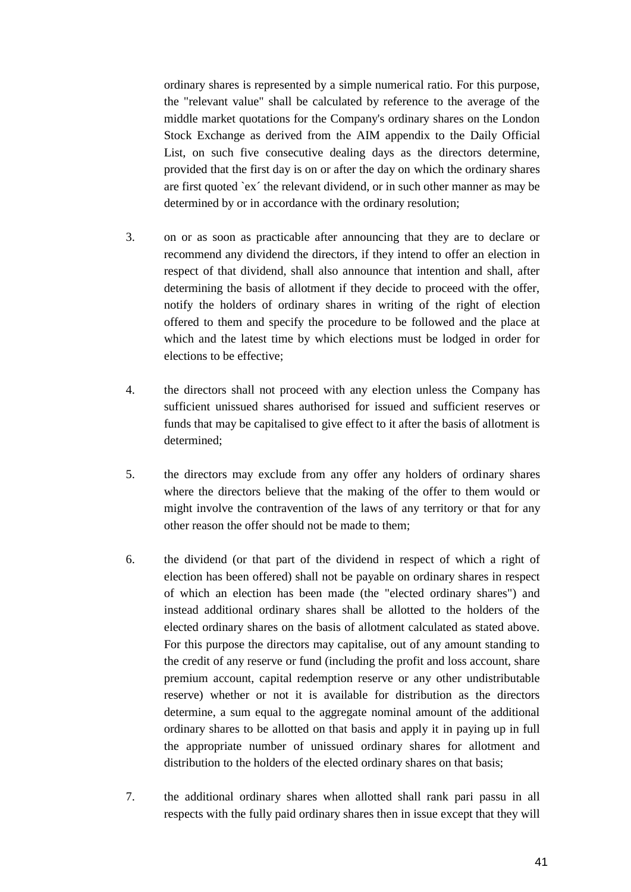ordinary shares is represented by a simple numerical ratio. For this purpose, the "relevant value" shall be calculated by reference to the average of the middle market quotations for the Company's ordinary shares on the London Stock Exchange as derived from the AIM appendix to the Daily Official List, on such five consecutive dealing days as the directors determine, provided that the first day is on or after the day on which the ordinary shares are first quoted `ex´ the relevant dividend, or in such other manner as may be determined by or in accordance with the ordinary resolution;

- 3. on or as soon as practicable after announcing that they are to declare or recommend any dividend the directors, if they intend to offer an election in respect of that dividend, shall also announce that intention and shall, after determining the basis of allotment if they decide to proceed with the offer, notify the holders of ordinary shares in writing of the right of election offered to them and specify the procedure to be followed and the place at which and the latest time by which elections must be lodged in order for elections to be effective;
- 4. the directors shall not proceed with any election unless the Company has sufficient unissued shares authorised for issued and sufficient reserves or funds that may be capitalised to give effect to it after the basis of allotment is determined;
- 5. the directors may exclude from any offer any holders of ordinary shares where the directors believe that the making of the offer to them would or might involve the contravention of the laws of any territory or that for any other reason the offer should not be made to them;
- 6. the dividend (or that part of the dividend in respect of which a right of election has been offered) shall not be payable on ordinary shares in respect of which an election has been made (the "elected ordinary shares") and instead additional ordinary shares shall be allotted to the holders of the elected ordinary shares on the basis of allotment calculated as stated above. For this purpose the directors may capitalise, out of any amount standing to the credit of any reserve or fund (including the profit and loss account, share premium account, capital redemption reserve or any other undistributable reserve) whether or not it is available for distribution as the directors determine, a sum equal to the aggregate nominal amount of the additional ordinary shares to be allotted on that basis and apply it in paying up in full the appropriate number of unissued ordinary shares for allotment and distribution to the holders of the elected ordinary shares on that basis;
- 7. the additional ordinary shares when allotted shall rank pari passu in all respects with the fully paid ordinary shares then in issue except that they will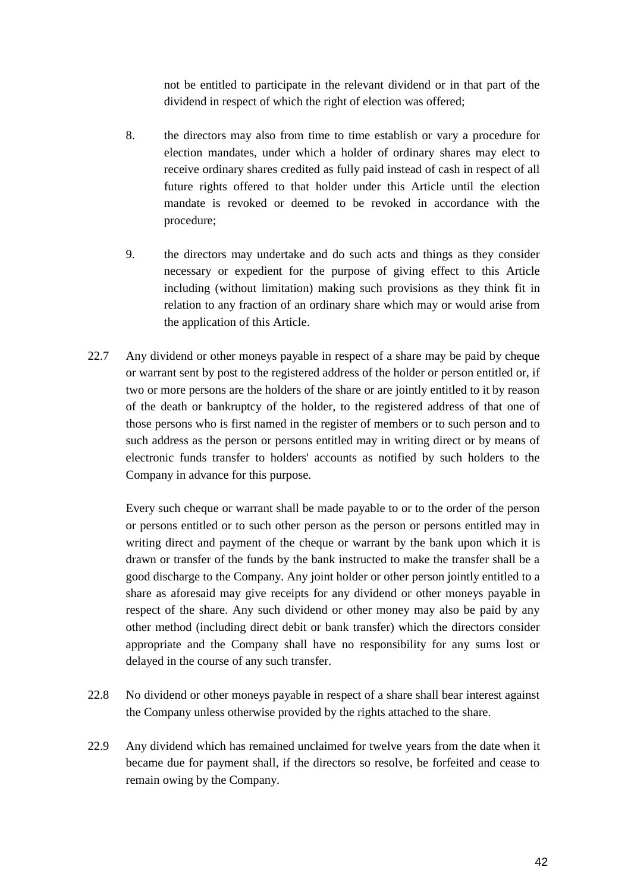not be entitled to participate in the relevant dividend or in that part of the dividend in respect of which the right of election was offered;

- 8. the directors may also from time to time establish or vary a procedure for election mandates, under which a holder of ordinary shares may elect to receive ordinary shares credited as fully paid instead of cash in respect of all future rights offered to that holder under this Article until the election mandate is revoked or deemed to be revoked in accordance with the procedure;
- 9. the directors may undertake and do such acts and things as they consider necessary or expedient for the purpose of giving effect to this Article including (without limitation) making such provisions as they think fit in relation to any fraction of an ordinary share which may or would arise from the application of this Article.
- 22.7 Any dividend or other moneys payable in respect of a share may be paid by cheque or warrant sent by post to the registered address of the holder or person entitled or, if two or more persons are the holders of the share or are jointly entitled to it by reason of the death or bankruptcy of the holder, to the registered address of that one of those persons who is first named in the register of members or to such person and to such address as the person or persons entitled may in writing direct or by means of electronic funds transfer to holders' accounts as notified by such holders to the Company in advance for this purpose.

Every such cheque or warrant shall be made payable to or to the order of the person or persons entitled or to such other person as the person or persons entitled may in writing direct and payment of the cheque or warrant by the bank upon which it is drawn or transfer of the funds by the bank instructed to make the transfer shall be a good discharge to the Company. Any joint holder or other person jointly entitled to a share as aforesaid may give receipts for any dividend or other moneys payable in respect of the share. Any such dividend or other money may also be paid by any other method (including direct debit or bank transfer) which the directors consider appropriate and the Company shall have no responsibility for any sums lost or delayed in the course of any such transfer.

- 22.8 No dividend or other moneys payable in respect of a share shall bear interest against the Company unless otherwise provided by the rights attached to the share.
- 22.9 Any dividend which has remained unclaimed for twelve years from the date when it became due for payment shall, if the directors so resolve, be forfeited and cease to remain owing by the Company.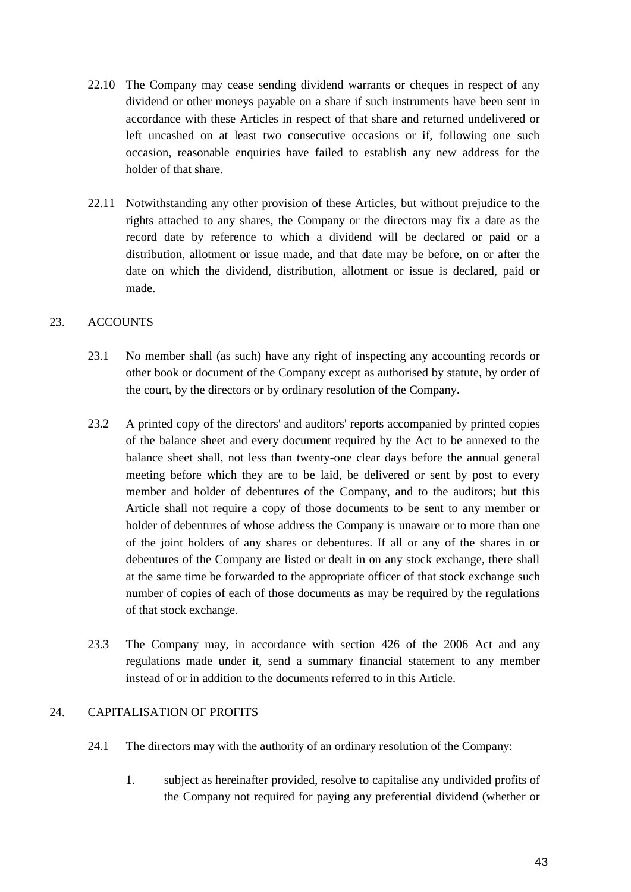- 22.10 The Company may cease sending dividend warrants or cheques in respect of any dividend or other moneys payable on a share if such instruments have been sent in accordance with these Articles in respect of that share and returned undelivered or left uncashed on at least two consecutive occasions or if, following one such occasion, reasonable enquiries have failed to establish any new address for the holder of that share.
- 22.11 Notwithstanding any other provision of these Articles, but without prejudice to the rights attached to any shares, the Company or the directors may fix a date as the record date by reference to which a dividend will be declared or paid or a distribution, allotment or issue made, and that date may be before, on or after the date on which the dividend, distribution, allotment or issue is declared, paid or made.

## <span id="page-44-0"></span>23. ACCOUNTS

- 23.1 No member shall (as such) have any right of inspecting any accounting records or other book or document of the Company except as authorised by statute, by order of the court, by the directors or by ordinary resolution of the Company.
- 23.2 A printed copy of the directors' and auditors' reports accompanied by printed copies of the balance sheet and every document required by the Act to be annexed to the balance sheet shall, not less than twenty-one clear days before the annual general meeting before which they are to be laid, be delivered or sent by post to every member and holder of debentures of the Company, and to the auditors; but this Article shall not require a copy of those documents to be sent to any member or holder of debentures of whose address the Company is unaware or to more than one of the joint holders of any shares or debentures. If all or any of the shares in or debentures of the Company are listed or dealt in on any stock exchange, there shall at the same time be forwarded to the appropriate officer of that stock exchange such number of copies of each of those documents as may be required by the regulations of that stock exchange.
- 23.3 The Company may, in accordance with section 426 of the 2006 Act and any regulations made under it, send a summary financial statement to any member instead of or in addition to the documents referred to in this Article.

## <span id="page-44-1"></span>24 CAPITALISATION OF PROFITS

- 24.1 The directors may with the authority of an ordinary resolution of the Company:
	- 1. subject as hereinafter provided, resolve to capitalise any undivided profits of the Company not required for paying any preferential dividend (whether or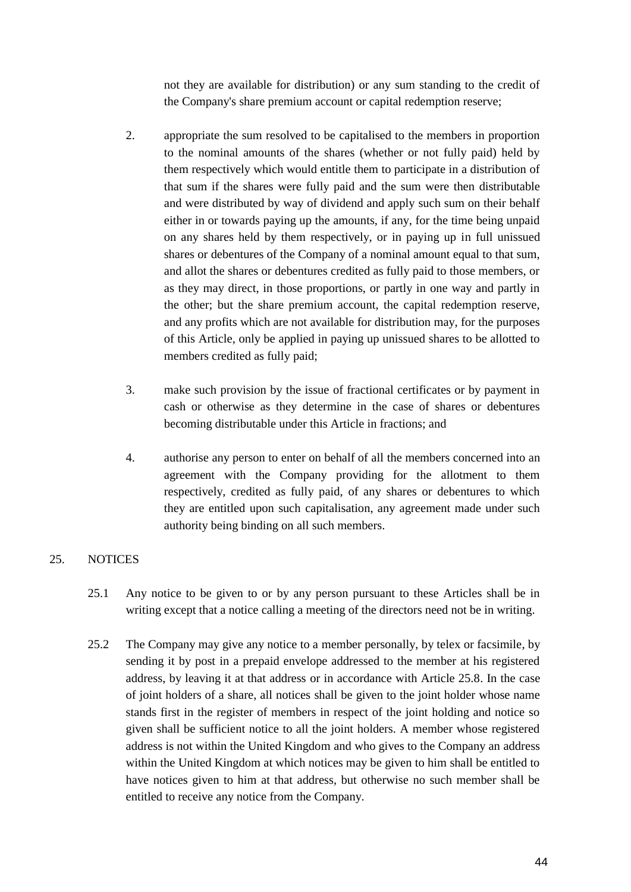not they are available for distribution) or any sum standing to the credit of the Company's share premium account or capital redemption reserve;

- 2. appropriate the sum resolved to be capitalised to the members in proportion to the nominal amounts of the shares (whether or not fully paid) held by them respectively which would entitle them to participate in a distribution of that sum if the shares were fully paid and the sum were then distributable and were distributed by way of dividend and apply such sum on their behalf either in or towards paying up the amounts, if any, for the time being unpaid on any shares held by them respectively, or in paying up in full unissued shares or debentures of the Company of a nominal amount equal to that sum, and allot the shares or debentures credited as fully paid to those members, or as they may direct, in those proportions, or partly in one way and partly in the other; but the share premium account, the capital redemption reserve, and any profits which are not available for distribution may, for the purposes of this Article, only be applied in paying up unissued shares to be allotted to members credited as fully paid;
- 3. make such provision by the issue of fractional certificates or by payment in cash or otherwise as they determine in the case of shares or debentures becoming distributable under this Article in fractions; and
- 4. authorise any person to enter on behalf of all the members concerned into an agreement with the Company providing for the allotment to them respectively, credited as fully paid, of any shares or debentures to which they are entitled upon such capitalisation, any agreement made under such authority being binding on all such members.

## <span id="page-45-0"></span>25. NOTICES

- 25.1 Any notice to be given to or by any person pursuant to these Articles shall be in writing except that a notice calling a meeting of the directors need not be in writing.
- 25.2 The Company may give any notice to a member personally, by telex or facsimile, by sending it by post in a prepaid envelope addressed to the member at his registered address, by leaving it at that address or in accordance with Article 25.8. In the case of joint holders of a share, all notices shall be given to the joint holder whose name stands first in the register of members in respect of the joint holding and notice so given shall be sufficient notice to all the joint holders. A member whose registered address is not within the United Kingdom and who gives to the Company an address within the United Kingdom at which notices may be given to him shall be entitled to have notices given to him at that address, but otherwise no such member shall be entitled to receive any notice from the Company.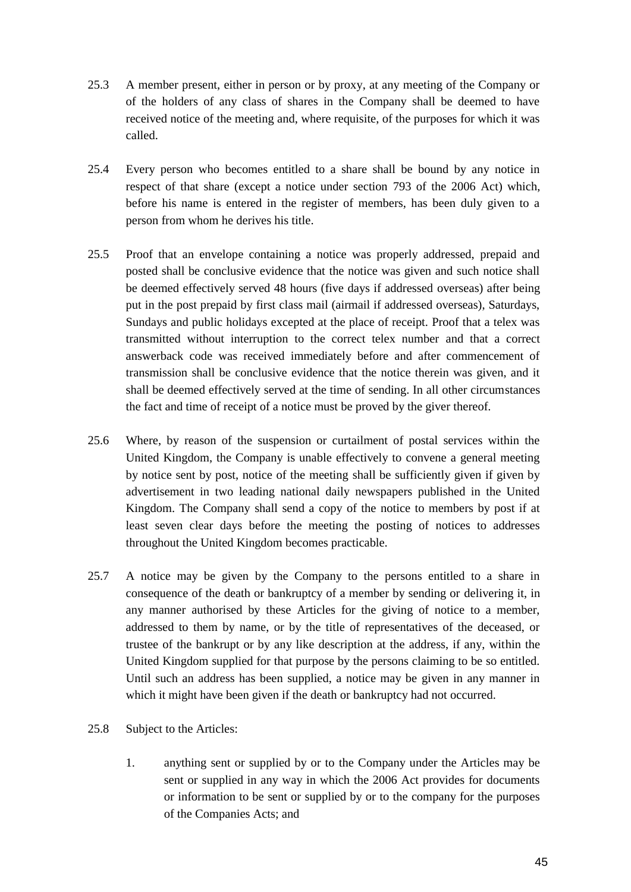- 25.3 A member present, either in person or by proxy, at any meeting of the Company or of the holders of any class of shares in the Company shall be deemed to have received notice of the meeting and, where requisite, of the purposes for which it was called.
- 25.4 Every person who becomes entitled to a share shall be bound by any notice in respect of that share (except a notice under section 793 of the 2006 Act) which, before his name is entered in the register of members, has been duly given to a person from whom he derives his title.
- 25.5 Proof that an envelope containing a notice was properly addressed, prepaid and posted shall be conclusive evidence that the notice was given and such notice shall be deemed effectively served 48 hours (five days if addressed overseas) after being put in the post prepaid by first class mail (airmail if addressed overseas), Saturdays, Sundays and public holidays excepted at the place of receipt. Proof that a telex was transmitted without interruption to the correct telex number and that a correct answerback code was received immediately before and after commencement of transmission shall be conclusive evidence that the notice therein was given, and it shall be deemed effectively served at the time of sending. In all other circumstances the fact and time of receipt of a notice must be proved by the giver thereof.
- 25.6 Where, by reason of the suspension or curtailment of postal services within the United Kingdom, the Company is unable effectively to convene a general meeting by notice sent by post, notice of the meeting shall be sufficiently given if given by advertisement in two leading national daily newspapers published in the United Kingdom. The Company shall send a copy of the notice to members by post if at least seven clear days before the meeting the posting of notices to addresses throughout the United Kingdom becomes practicable.
- 25.7 A notice may be given by the Company to the persons entitled to a share in consequence of the death or bankruptcy of a member by sending or delivering it, in any manner authorised by these Articles for the giving of notice to a member, addressed to them by name, or by the title of representatives of the deceased, or trustee of the bankrupt or by any like description at the address, if any, within the United Kingdom supplied for that purpose by the persons claiming to be so entitled. Until such an address has been supplied, a notice may be given in any manner in which it might have been given if the death or bankruptcy had not occurred.
- 25.8 Subject to the Articles:
	- 1. anything sent or supplied by or to the Company under the Articles may be sent or supplied in any way in which the 2006 Act provides for documents or information to be sent or supplied by or to the company for the purposes of the Companies Acts; and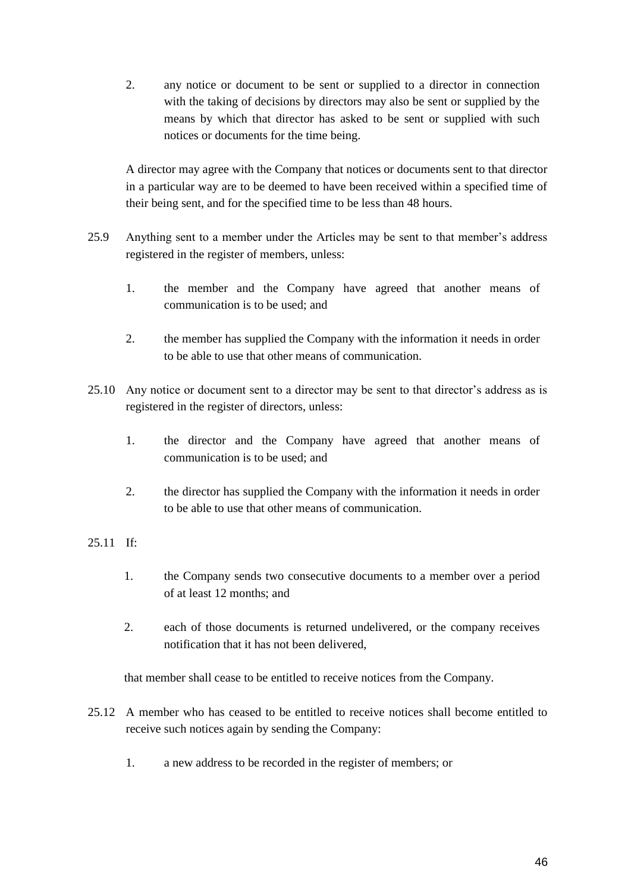2. any notice or document to be sent or supplied to a director in connection with the taking of decisions by directors may also be sent or supplied by the means by which that director has asked to be sent or supplied with such notices or documents for the time being.

A director may agree with the Company that notices or documents sent to that director in a particular way are to be deemed to have been received within a specified time of their being sent, and for the specified time to be less than 48 hours.

- 25.9 Anything sent to a member under the Articles may be sent to that member's address registered in the register of members, unless:
	- 1. the member and the Company have agreed that another means of communication is to be used; and
	- 2. the member has supplied the Company with the information it needs in order to be able to use that other means of communication.
- 25.10 Any notice or document sent to a director may be sent to that director's address as is registered in the register of directors, unless:
	- 1. the director and the Company have agreed that another means of communication is to be used; and
	- 2. the director has supplied the Company with the information it needs in order to be able to use that other means of communication.

## 25.11 If:

- 1. the Company sends two consecutive documents to a member over a period of at least 12 months; and
- 2. each of those documents is returned undelivered, or the company receives notification that it has not been delivered,

that member shall cease to be entitled to receive notices from the Company.

- 25.12 A member who has ceased to be entitled to receive notices shall become entitled to receive such notices again by sending the Company:
	- 1. a new address to be recorded in the register of members; or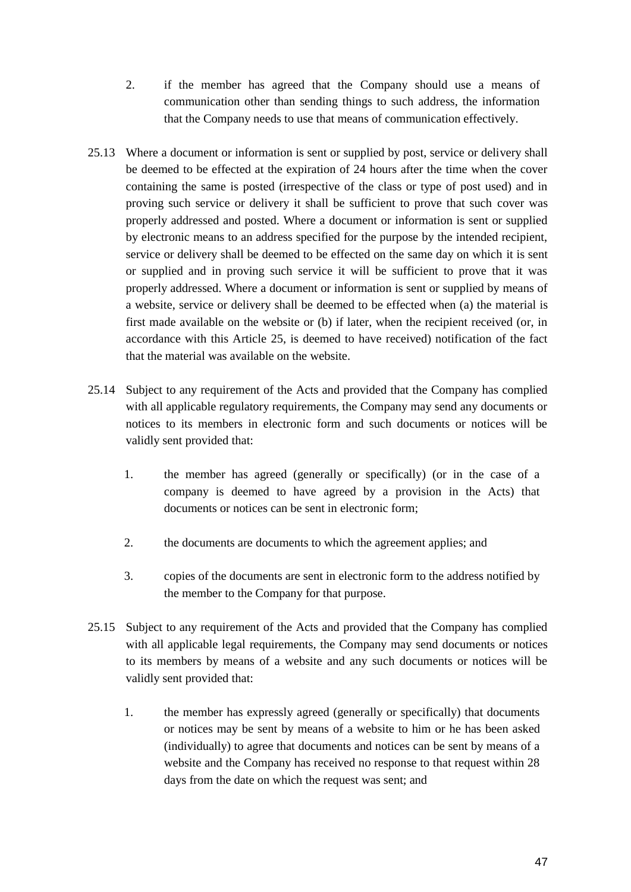- 2. if the member has agreed that the Company should use a means of communication other than sending things to such address, the information that the Company needs to use that means of communication effectively.
- 25.13 Where a document or information is sent or supplied by post, service or delivery shall be deemed to be effected at the expiration of 24 hours after the time when the cover containing the same is posted (irrespective of the class or type of post used) and in proving such service or delivery it shall be sufficient to prove that such cover was properly addressed and posted. Where a document or information is sent or supplied by electronic means to an address specified for the purpose by the intended recipient, service or delivery shall be deemed to be effected on the same day on which it is sent or supplied and in proving such service it will be sufficient to prove that it was properly addressed. Where a document or information is sent or supplied by means of a website, service or delivery shall be deemed to be effected when (a) the material is first made available on the website or (b) if later, when the recipient received (or, in accordance with this Article 25, is deemed to have received) notification of the fact that the material was available on the website.
- 25.14 Subject to any requirement of the Acts and provided that the Company has complied with all applicable regulatory requirements, the Company may send any documents or notices to its members in electronic form and such documents or notices will be validly sent provided that:
	- 1. the member has agreed (generally or specifically) (or in the case of a company is deemed to have agreed by a provision in the Acts) that documents or notices can be sent in electronic form;
	- 2. the documents are documents to which the agreement applies; and
	- 3. copies of the documents are sent in electronic form to the address notified by the member to the Company for that purpose.
- 25.15 Subject to any requirement of the Acts and provided that the Company has complied with all applicable legal requirements, the Company may send documents or notices to its members by means of a website and any such documents or notices will be validly sent provided that:
	- 1. the member has expressly agreed (generally or specifically) that documents or notices may be sent by means of a website to him or he has been asked (individually) to agree that documents and notices can be sent by means of a website and the Company has received no response to that request within 28 days from the date on which the request was sent; and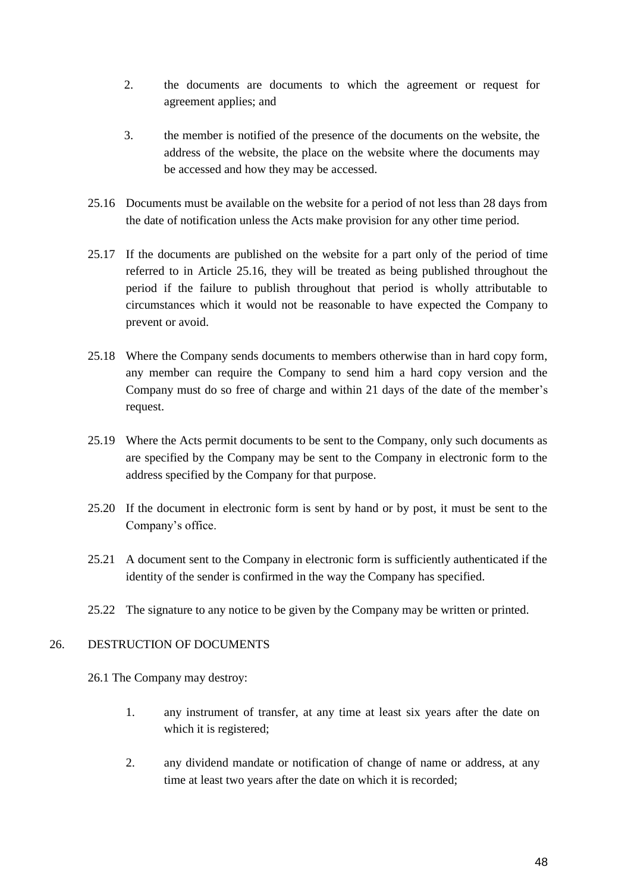- 2. the documents are documents to which the agreement or request for agreement applies; and
- 3. the member is notified of the presence of the documents on the website, the address of the website, the place on the website where the documents may be accessed and how they may be accessed.
- 25.16 Documents must be available on the website for a period of not less than 28 days from the date of notification unless the Acts make provision for any other time period.
- 25.17 If the documents are published on the website for a part only of the period of time referred to in Article 25.16, they will be treated as being published throughout the period if the failure to publish throughout that period is wholly attributable to circumstances which it would not be reasonable to have expected the Company to prevent or avoid.
- 25.18 Where the Company sends documents to members otherwise than in hard copy form, any member can require the Company to send him a hard copy version and the Company must do so free of charge and within 21 days of the date of the member's request.
- 25.19 Where the Acts permit documents to be sent to the Company, only such documents as are specified by the Company may be sent to the Company in electronic form to the address specified by the Company for that purpose.
- 25.20 If the document in electronic form is sent by hand or by post, it must be sent to the Company's office.
- 25.21 A document sent to the Company in electronic form is sufficiently authenticated if the identity of the sender is confirmed in the way the Company has specified.
- 25.22 The signature to any notice to be given by the Company may be written or printed.

## <span id="page-49-0"></span>26. DESTRUCTION OF DOCUMENTS

26.1 The Company may destroy:

- 1. any instrument of transfer, at any time at least six years after the date on which it is registered;
- 2. any dividend mandate or notification of change of name or address, at any time at least two years after the date on which it is recorded;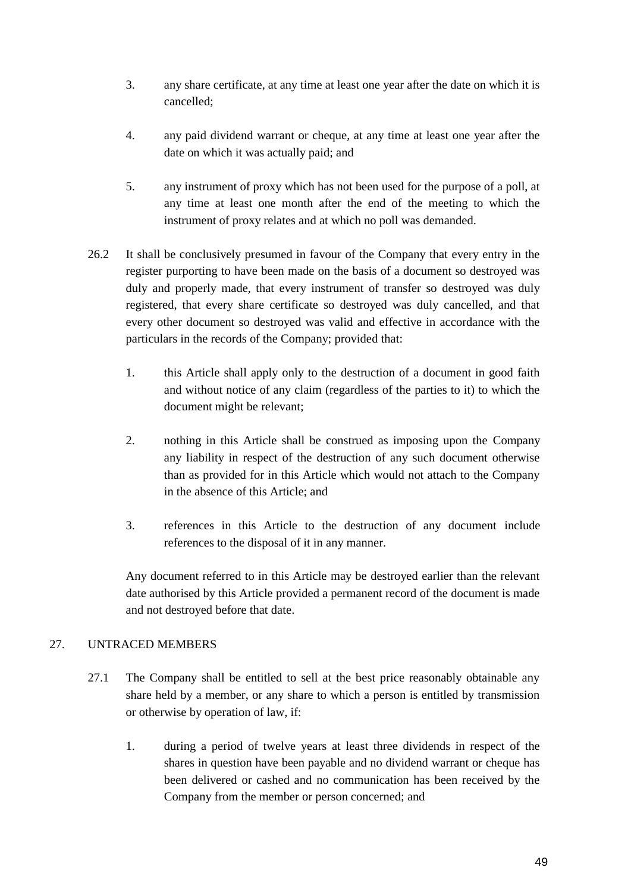- 3. any share certificate, at any time at least one year after the date on which it is cancelled;
- 4. any paid dividend warrant or cheque, at any time at least one year after the date on which it was actually paid; and
- 5. any instrument of proxy which has not been used for the purpose of a poll, at any time at least one month after the end of the meeting to which the instrument of proxy relates and at which no poll was demanded.
- 26.2 It shall be conclusively presumed in favour of the Company that every entry in the register purporting to have been made on the basis of a document so destroyed was duly and properly made, that every instrument of transfer so destroyed was duly registered, that every share certificate so destroyed was duly cancelled, and that every other document so destroyed was valid and effective in accordance with the particulars in the records of the Company; provided that:
	- 1. this Article shall apply only to the destruction of a document in good faith and without notice of any claim (regardless of the parties to it) to which the document might be relevant;
	- 2. nothing in this Article shall be construed as imposing upon the Company any liability in respect of the destruction of any such document otherwise than as provided for in this Article which would not attach to the Company in the absence of this Article; and
	- 3. references in this Article to the destruction of any document include references to the disposal of it in any manner.

Any document referred to in this Article may be destroyed earlier than the relevant date authorised by this Article provided a permanent record of the document is made and not destroyed before that date.

## <span id="page-50-0"></span>27. UNTRACED MEMBERS

- 27.1 The Company shall be entitled to sell at the best price reasonably obtainable any share held by a member, or any share to which a person is entitled by transmission or otherwise by operation of law, if:
	- 1. during a period of twelve years at least three dividends in respect of the shares in question have been payable and no dividend warrant or cheque has been delivered or cashed and no communication has been received by the Company from the member or person concerned; and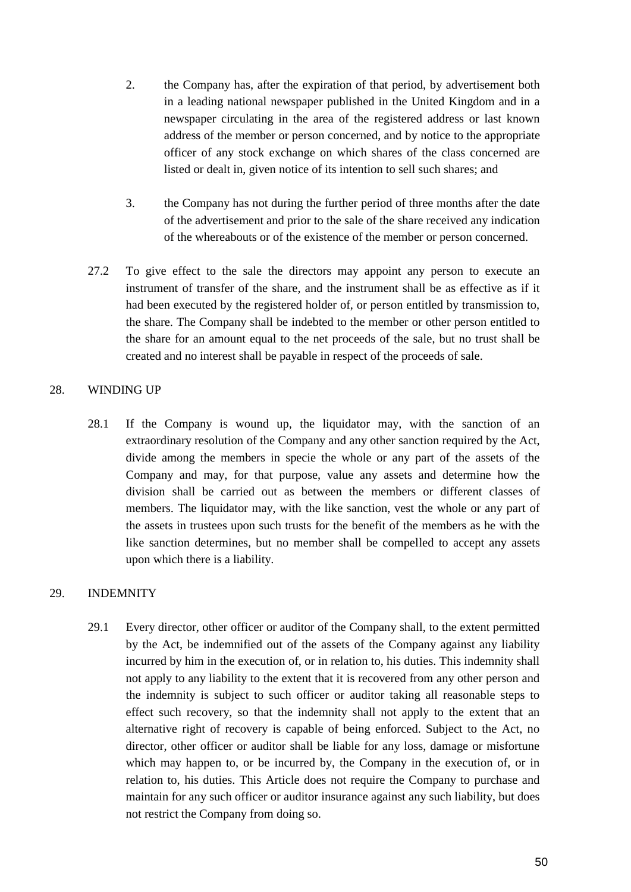- 2. the Company has, after the expiration of that period, by advertisement both in a leading national newspaper published in the United Kingdom and in a newspaper circulating in the area of the registered address or last known address of the member or person concerned, and by notice to the appropriate officer of any stock exchange on which shares of the class concerned are listed or dealt in, given notice of its intention to sell such shares; and
- 3. the Company has not during the further period of three months after the date of the advertisement and prior to the sale of the share received any indication of the whereabouts or of the existence of the member or person concerned.
- 27.2 To give effect to the sale the directors may appoint any person to execute an instrument of transfer of the share, and the instrument shall be as effective as if it had been executed by the registered holder of, or person entitled by transmission to, the share. The Company shall be indebted to the member or other person entitled to the share for an amount equal to the net proceeds of the sale, but no trust shall be created and no interest shall be payable in respect of the proceeds of sale.

## <span id="page-51-0"></span>28. WINDING UP

28.1 If the Company is wound up, the liquidator may, with the sanction of an extraordinary resolution of the Company and any other sanction required by the Act, divide among the members in specie the whole or any part of the assets of the Company and may, for that purpose, value any assets and determine how the division shall be carried out as between the members or different classes of members. The liquidator may, with the like sanction, vest the whole or any part of the assets in trustees upon such trusts for the benefit of the members as he with the like sanction determines, but no member shall be compelled to accept any assets upon which there is a liability.

## <span id="page-51-1"></span>29. INDEMNITY

29.1 Every director, other officer or auditor of the Company shall, to the extent permitted by the Act, be indemnified out of the assets of the Company against any liability incurred by him in the execution of, or in relation to, his duties. This indemnity shall not apply to any liability to the extent that it is recovered from any other person and the indemnity is subject to such officer or auditor taking all reasonable steps to effect such recovery, so that the indemnity shall not apply to the extent that an alternative right of recovery is capable of being enforced. Subject to the Act, no director, other officer or auditor shall be liable for any loss, damage or misfortune which may happen to, or be incurred by, the Company in the execution of, or in relation to, his duties. This Article does not require the Company to purchase and maintain for any such officer or auditor insurance against any such liability, but does not restrict the Company from doing so.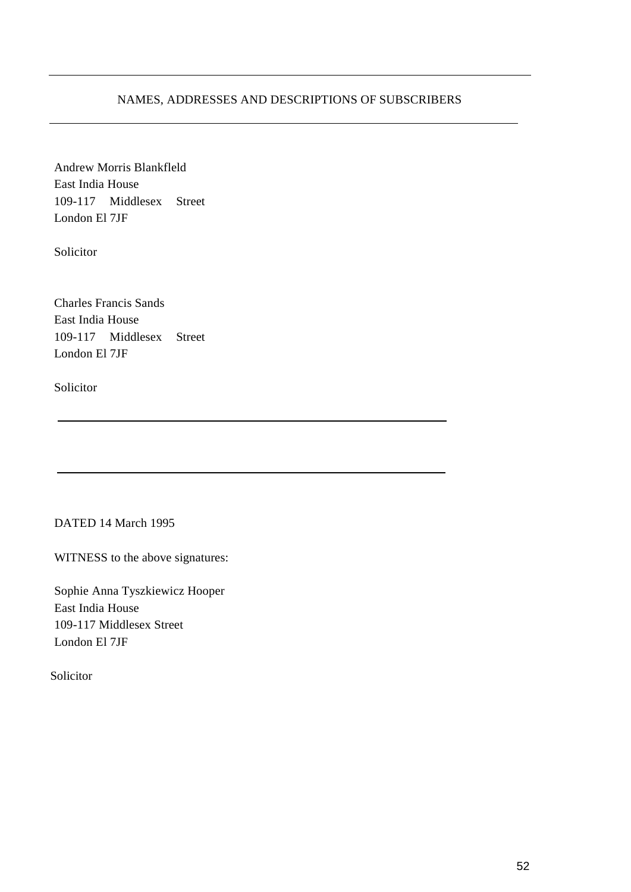## NAMES, ADDRESSES AND DESCRIPTIONS OF SUBSCRIBERS

Andrew Morris Blankfleld East India House 109-117 Middlesex Street London El 7JF

Solicitor

Charles Francis Sands East India House 109-117 Middlesex Street London El 7JF

Solicitor

DATED 14 March 1995

WITNESS to the above signatures:

Sophie Anna Tyszkiewicz Hooper East India House 109-117 Middlesex Street London El 7JF

Solicitor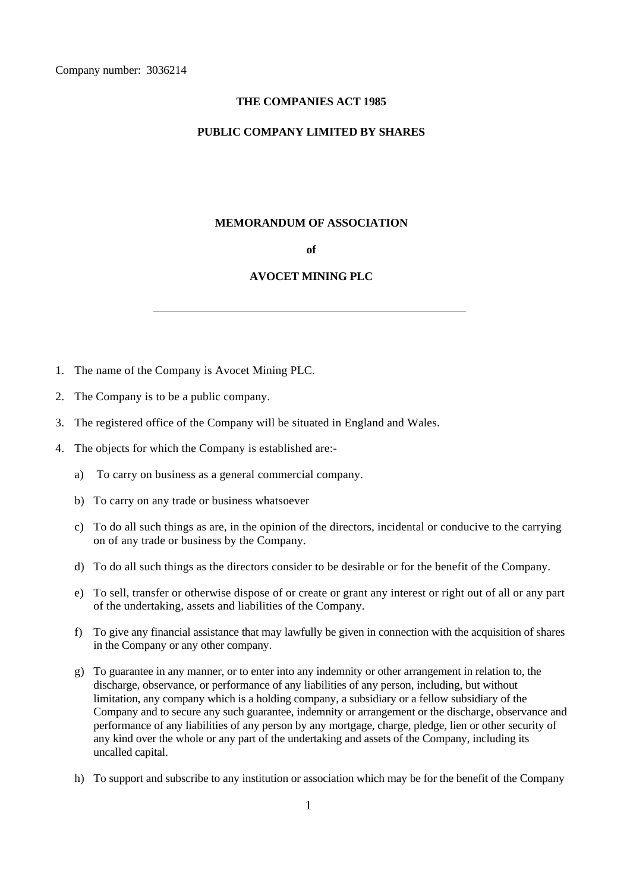#### **THE COMPANIES ACT 1985**

#### **PUBLIC COMPANY LIMITED BY SHARES**

#### **MEMORANDUM OF ASSOCIATION**

#### **of**

#### **AVOCET MINING PLC**

- 1. The name of the Company is Avocet Mining PLC.
- 2. The Company is to be a public company.
- 3. The registered office of the Company will be situated in England and Wales.
- 4. The objects for which the Company is established are:
	- a) To carry on business as a general commercial company.
	- b) To carry on any trade or business whatsoever
	- c) To do all such things as are, in the opinion of the directors, incidental or conducive to the carrying on of any trade or business by the Company.
	- d) To do all such things as the directors consider to be desirable or for the benefit of the Company.
	- e) To sell, transfer or otherwise dispose of or create or grant any interest or right out of all or any part of the undertaking, assets and liabilities of the Company.
	- f) To give any financial assistance that may lawfully be given in connection with the acquisition of shares in the Company or any other company.
	- g) To guarantee in any manner, or to enter into any indemnity or other arrangement in relation to, the discharge, observance, or performance of any liabilities of any person, including, but without limitation, any company which is a holding company, a subsidiary or a fellow subsidiary of the Company and to secure any such guarantee, indemnity or arrangement or the discharge, observance and performance of any liabilities of any person by any mortgage, charge, pledge, lien or other security of any kind over the whole or any part of the undertaking and assets of the Company, including its uncalled capital.
	- h) To support and subscribe to any institution or association which may be for the benefit of the Company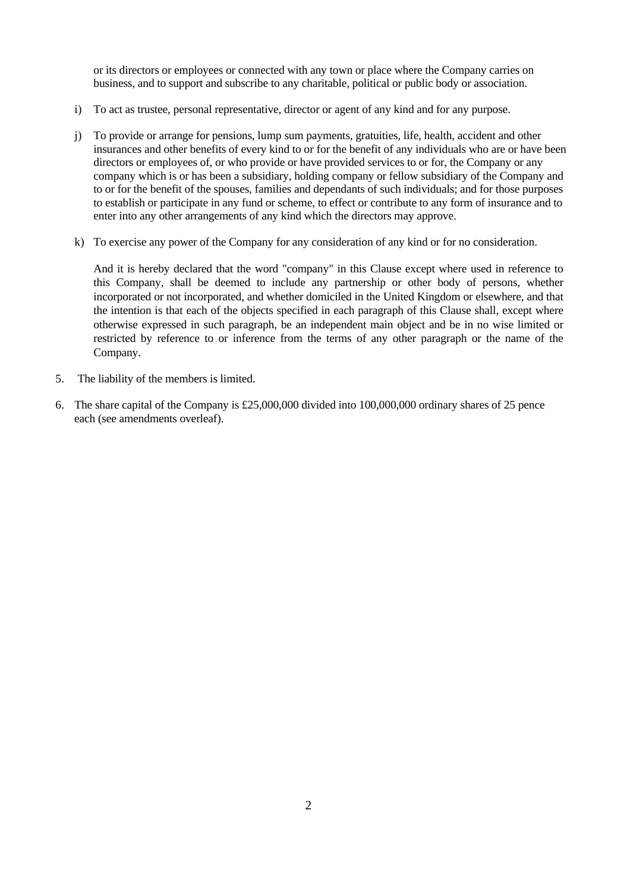or its directors or employees or connected with any town or place where the Company carries on business, and to support and subscribe to any charitable, political or public body or association.

- i) To act as trustee, personal representative, director or agent of any kind and for any purpose.
- j) To provide or arrange for pensions, lump sum payments, gratuities, life, health, accident and other insurances and other benefits of every kind to or for the benefit of any individuals who are or have been directors or employees of, or who provide or have provided services to or for, the Company or any company which is or has been a subsidiary, holding company or fellow subsidiary of the Company and to or for the benefit of the spouses, families and dependants of such individuals; and for those purposes to establish or participate in any fund or scheme, to effect or contribute to any form of insurance and to enter into any other arrangements of any kind which the directors may approve.
- k) To exercise any power of the Company for any consideration of any kind or for no consideration.

And it is hereby declared that the word "company" in this Clause except where used in reference to this Company, shall be deemed to include any partnership or other body of persons, whether incorporated or not incorporated, and whether domiciled in the United Kingdom or elsewhere, and that the intention is that each of the objects specified in each paragraph of this Clause shall, except where otherwise expressed in such paragraph, be an independent main object and be in no wise limited or restricted by reference to or inference from the terms of any other paragraph or the name of the Company.

- 5. The liability of the members is limited.
- 6. The share capital of the Company is £25,000,000 divided into 100,000,000 ordinary shares of 25 pence each (see amendments overleaf).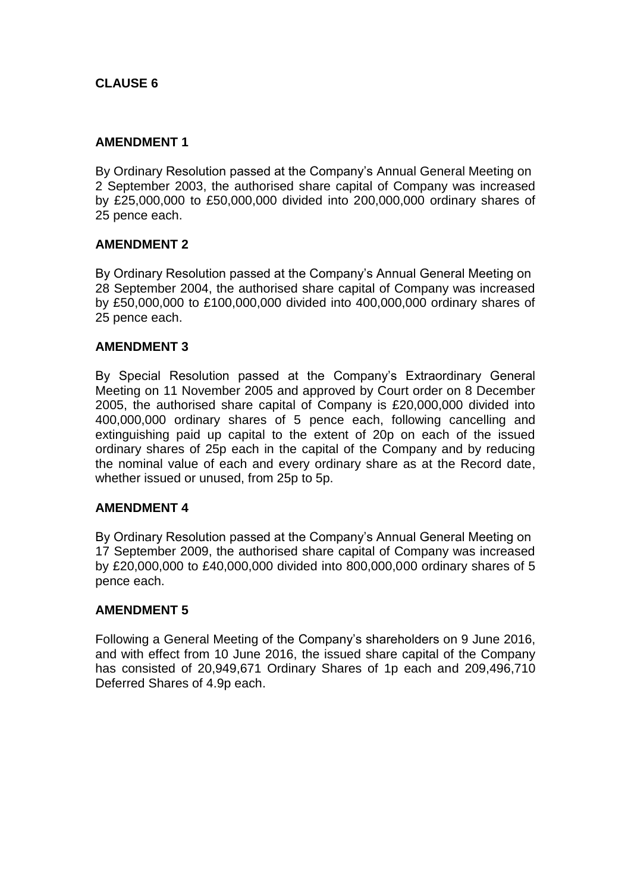## **CLAUSE 6**

## **AMENDMENT 1**

By Ordinary Resolution passed at the Company's Annual General Meeting on 2 September 2003, the authorised share capital of Company was increased by £25,000,000 to £50,000,000 divided into 200,000,000 ordinary shares of 25 pence each.

## **AMENDMENT 2**

By Ordinary Resolution passed at the Company's Annual General Meeting on 28 September 2004, the authorised share capital of Company was increased by £50,000,000 to £100,000,000 divided into 400,000,000 ordinary shares of 25 pence each.

## **AMENDMENT 3**

By Special Resolution passed at the Company's Extraordinary General Meeting on 11 November 2005 and approved by Court order on 8 December 2005, the authorised share capital of Company is £20,000,000 divided into 400,000,000 ordinary shares of 5 pence each, following cancelling and extinguishing paid up capital to the extent of 20p on each of the issued ordinary shares of 25p each in the capital of the Company and by reducing the nominal value of each and every ordinary share as at the Record date, whether issued or unused, from 25p to 5p.

## **AMENDMENT 4**

By Ordinary Resolution passed at the Company's Annual General Meeting on 17 September 2009, the authorised share capital of Company was increased by £20,000,000 to £40,000,000 divided into 800,000,000 ordinary shares of 5 pence each.

## **AMENDMENT 5**

Following a General Meeting of the Company's shareholders on 9 June 2016, and with effect from 10 June 2016, the issued share capital of the Company has consisted of 20,949,671 Ordinary Shares of 1p each and 209,496,710 Deferred Shares of 4.9p each.